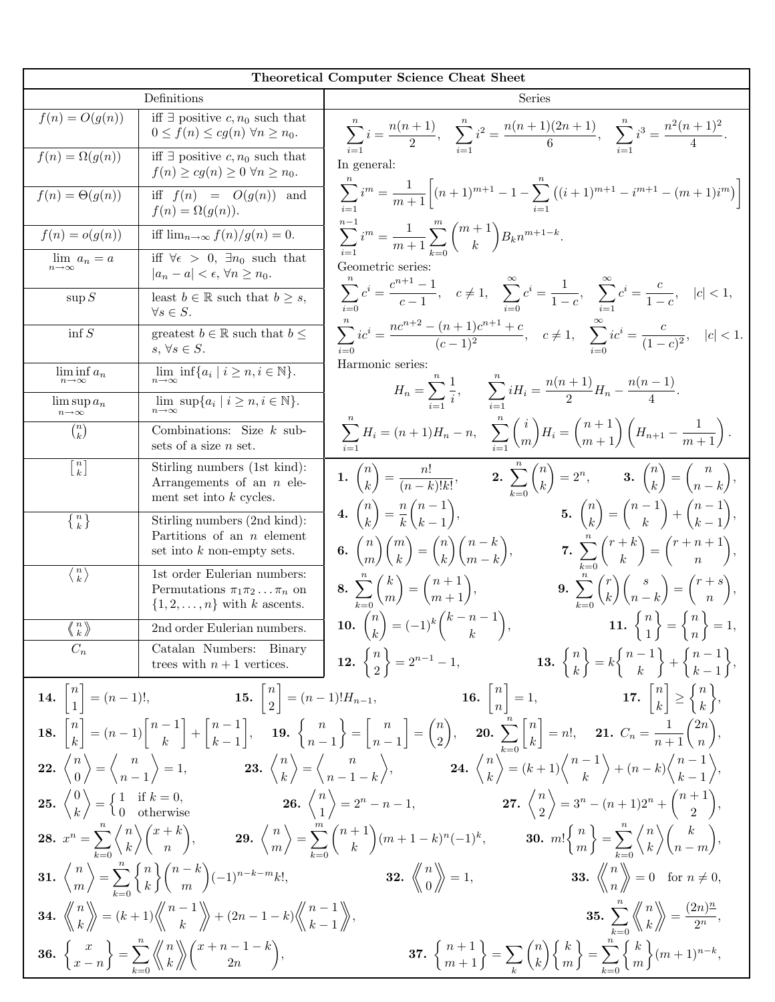|                                                      |                                                                                                                                                                                                                                     | Theoretical Computer Science Cheat Sheet                                                                                                                                                                                                                                                                                                                                                                                                                       |
|------------------------------------------------------|-------------------------------------------------------------------------------------------------------------------------------------------------------------------------------------------------------------------------------------|----------------------------------------------------------------------------------------------------------------------------------------------------------------------------------------------------------------------------------------------------------------------------------------------------------------------------------------------------------------------------------------------------------------------------------------------------------------|
| Definitions                                          |                                                                                                                                                                                                                                     | Series                                                                                                                                                                                                                                                                                                                                                                                                                                                         |
| $f(n) = O(g(n))$                                     | iff $\exists$ positive c, n <sub>0</sub> such that<br>$0 \le f(n) \le cg(n) \,\forall n \ge n_0.$                                                                                                                                   | $\sum_{i=1}^{n} i = \frac{n(n+1)}{2}, \quad \sum_{i=1}^{n} i^2 = \frac{n(n+1)(2n+1)}{6}, \quad \sum_{i=1}^{n} i^3 = \frac{n^2(n+1)^2}{4}.$                                                                                                                                                                                                                                                                                                                     |
| $f(n) = \Omega(g(n))$                                | iff $\exists$ positive c, $n_0$ such that<br>$f(n) \ge cg(n) \ge 0 \,\forall n \ge n_0.$                                                                                                                                            | In general:                                                                                                                                                                                                                                                                                                                                                                                                                                                    |
| $f(n) = \Theta(g(n))$                                | iff $f(n) = O(g(n))$ and<br>$f(n) = \Omega(g(n)).$                                                                                                                                                                                  | $\sum_{n=1}^{\infty} i^{m} = \frac{1}{m+1} \left[ (n+1)^{m+1} - 1 - \sum_{n=1}^{n} \left( (i+1)^{m+1} - i^{m+1} - (m+1)i^{m} \right) \right]$                                                                                                                                                                                                                                                                                                                  |
| $f(n) = o(g(n))$                                     | iff $\lim_{n\to\infty} f(n)/g(n) = 0$ .                                                                                                                                                                                             | $\sum_{i=1}^{\infty} i^m = \frac{1}{m+1} \sum_{k=0}^m \binom{m+1}{k} B_k n^{m+1-k}.$                                                                                                                                                                                                                                                                                                                                                                           |
| $\lim_{n\to\infty} a_n = a$                          | iff $\forall \epsilon > 0$ , $\exists n_0$ such that<br>$ a_n - a  < \epsilon, \forall n \geq n_0.$                                                                                                                                 | Geometric series:                                                                                                                                                                                                                                                                                                                                                                                                                                              |
| $\sup S$                                             | least $b \in \mathbb{R}$ such that $b \geq s$ ,<br>$\forall s \in S.$                                                                                                                                                               | $\sum_{i=0}^{n} c^{i} = \frac{c^{n+1}-1}{c-1}, \quad c \neq 1, \quad \sum_{i=0}^{\infty} c^{i} = \frac{1}{1-c}, \quad \sum_{i=1}^{\infty} c^{i} = \frac{c}{1-c}, \quad  c  < 1,$                                                                                                                                                                                                                                                                               |
| $\inf S$                                             | greatest $b \in \mathbb{R}$ such that $b \leq$<br>$s, \forall s \in S.$                                                                                                                                                             | $\sum_{i=0}^{n}ic^{i} = \frac{nc^{n+2} - (n+1)c^{n+1} + c}{(c-1)^{2}}, \quad c \neq 1, \quad \sum_{i=0}^{\infty}ic^{i} = \frac{c}{(1-c)^{2}}, \quad  c  < 1.$                                                                                                                                                                                                                                                                                                  |
| $\liminf_{n\to\infty} a_n$                           | $\lim_{n\to\infty} \inf\{a_i \mid i \geq n, i \in \mathbb{N}\}.$                                                                                                                                                                    | Harmonic series:                                                                                                                                                                                                                                                                                                                                                                                                                                               |
| $\limsup a_n$<br>$n\!\to\!\infty$                    | $\lim \sup \{a_i \mid i \geq n, i \in \mathbb{N}\}.$<br>$n\rightarrow\infty$                                                                                                                                                        | $H_n = \sum_{i=1}^{n} \frac{1}{i}, \qquad \sum_{i=1}^{n} i H_i = \frac{n(n+1)}{2} H_n - \frac{n(n-1)}{4}.$                                                                                                                                                                                                                                                                                                                                                     |
| $\binom{n}{k}$                                       | Combinations: Size $k$ sub-<br>sets of a size $n$ set.                                                                                                                                                                              | $\sum_{i=1}^{n} H_i = (n+1)H_n - n, \quad \sum_{i=1}^{n} {i \choose m} H_i = {n+1 \choose m+1} (H_{n+1} - \frac{1}{m+1}).$                                                                                                                                                                                                                                                                                                                                     |
| $\left[\begin{matrix} n \\ k \end{matrix}\right]$    | Stirling numbers (1st kind):<br>Arrangements of an $n$ ele-<br>ment set into $k$ cycles.                                                                                                                                            | 1. $\binom{n}{k} = \frac{n!}{(n-k)!k!},$ 2. $\sum_{k=0}^{n} \binom{n}{k} = 2^n,$ 3. $\binom{n}{k} = \binom{n}{n-k},$                                                                                                                                                                                                                                                                                                                                           |
| $\left\{\begin{array}{c} n \\ k \end{array}\right\}$ | Stirling numbers (2nd kind):                                                                                                                                                                                                        | 4. $\binom{n}{k} = \frac{n}{k} \binom{n-1}{k-1},$<br>5. $\binom{n}{k} = \binom{n-1}{k} + \binom{n-1}{k-1}$                                                                                                                                                                                                                                                                                                                                                     |
|                                                      | Partitions of an $n$ element<br>set into $k$ non-empty sets.                                                                                                                                                                        | <b>6.</b> $\binom{n}{m}\binom{m}{k} = \binom{n}{k}\binom{n-k}{m-k}$ , <b>7.</b> $\sum_{k=0}^{n}\binom{r+k}{k} = \binom{r+n+1}{n}$ ,                                                                                                                                                                                                                                                                                                                            |
| $\langle \frac{n}{k} \rangle$                        | 1st order Eulerian numbers:<br>Permutations $\pi_1 \pi_2 \dots \pi_n$ on<br>$\{1, 2, \ldots, n\}$ with k ascents.                                                                                                                   | <b>9.</b> $\sum_{k=0}^{n} {r \choose k} {s \choose n-k} = {r+s \choose n},$<br>8. $\sum_{k=0}^{n} {k \choose m} = {n+1 \choose m+1},$                                                                                                                                                                                                                                                                                                                          |
|                                                      |                                                                                                                                                                                                                                     |                                                                                                                                                                                                                                                                                                                                                                                                                                                                |
|                                                      |                                                                                                                                                                                                                                     | $\begin{array}{c c c c c c c c c} \hline \langle n \rangle & \text{2nd order Eulerian numbers.} \ \hline C_n & \text{Catalan Numbers:} & \text{Binary} \ \hline \text{trees with $n+1$ vertices.} \ \hline \end{array} \quad \begin{array}{c} \textbf{10.} & \binom{n}{k} = (-1)^k \binom{k-n-1}{k}, & \textbf{11.} & \binom{n}{1} = \binom{n}{n} = 1, \\ \textbf{2.} & \binom{n}{2} = 2^{n-1} - 1, & \textbf{13.} & \binom{n}{k} = k \binom{n-1}{k} + \binom$ |
|                                                      |                                                                                                                                                                                                                                     | <b>14.</b> $\begin{bmatrix} n \\ 1 \end{bmatrix} = (n-1)!,$ <b>15.</b> $\begin{bmatrix} n \\ 2 \end{bmatrix} = (n-1)! H_{n-1},$ <b>16.</b> $\begin{bmatrix} n \\ n \end{bmatrix} = 1,$ <b>17.</b> $\begin{bmatrix} n \\ k \end{bmatrix} \geq \begin{Bmatrix} n \\ k \end{Bmatrix},$                                                                                                                                                                            |
|                                                      |                                                                                                                                                                                                                                     | 18. $\begin{bmatrix} n \\ k \end{bmatrix} = (n-1)\begin{bmatrix} n-1 \\ k \end{bmatrix} + \begin{bmatrix} n-1 \\ k-1 \end{bmatrix}$ , 19. $\begin{Bmatrix} n \\ n-1 \end{Bmatrix} = \begin{bmatrix} n \\ n-1 \end{bmatrix} = \begin{Bmatrix} n \\ 2 \end{Bmatrix}$ , 20. $\sum_{k=0}^{n} \begin{bmatrix} n \\ k \end{bmatrix} = n!$ , 21. $C_n = \frac{1}{n+1} \begin{Bmatrix} 2n \\ n \end{Bmatrix}$ ,                                                        |
|                                                      |                                                                                                                                                                                                                                     | <b>22.</b> $\binom{n}{0} = \binom{n}{n-1} = 1$ , <b>23.</b> $\binom{n}{k} = \binom{n}{n-1-k}$ , <b>24.</b> $\binom{n}{k} = (k+1)\binom{n-1}{k} + (n-k)\binom{n-1}{k-1}$ ,                                                                                                                                                                                                                                                                                      |
|                                                      |                                                                                                                                                                                                                                     | <b>25.</b> $\binom{0}{k} = \begin{Bmatrix} 1 & \text{if } k = 0, \\ 0 & \text{otherwise} \end{Bmatrix}$ <b>26.</b> $\binom{n}{1} = 2^n - n - 1$ , <b>27.</b> $\binom{n}{2} = 3^n - (n+1)2^n + \binom{n+1}{2}$ ,                                                                                                                                                                                                                                                |
|                                                      |                                                                                                                                                                                                                                     | <b>28.</b> $x^n = \sum_{k=0}^n \binom{n}{k} \binom{x+k}{n}$ , <b>29.</b> $\binom{n}{m} = \sum_{k=0}^m \binom{n+1}{k} (m+1-k)^n (-1)^k$ , <b>30.</b> $m! \binom{n}{m} = \sum_{k=0}^n \binom{n}{k} \binom{k}{n-m}$ ,                                                                                                                                                                                                                                             |
|                                                      | 31. $\binom{n}{m}$ = $\sum_{k=0}^{n} \binom{n}{k} \binom{n-k}{m} (-1)^{n-k-m} k!$                                                                                                                                                   | <b>32.</b> $\left\langle \begin{array}{c} n \\ 0 \end{array} \right\rangle = 1$ , <b>33.</b> $\left\langle \begin{array}{c} n \\ n \end{array} \right\rangle = 0$ for $n \neq 0$ ,                                                                                                                                                                                                                                                                             |
|                                                      | <b>34.</b> $\left\langle \begin{array}{c} n \\ k \end{array} \right\rangle = (k+1) \left\langle \begin{array}{c} n-1 \\ k \end{array} \right\rangle + (2n-1-k) \left\langle \begin{array}{c} n-1 \\ k-1 \end{array} \right\rangle,$ | <b>35.</b> $\sum_{n=0}^{n} \left\langle \begin{matrix} n \\ k \end{matrix} \right\rangle = \frac{(2n)^n}{2^n},$                                                                                                                                                                                                                                                                                                                                                |
|                                                      | <b>36.</b> $\begin{Bmatrix} x \\ x-n \end{Bmatrix} = \sum_{k=0}^{n} \left\langle \begin{Bmatrix} n \\ k \end{Bmatrix} \right\rangle \begin{pmatrix} x+n-1-k \\ 2n \end{pmatrix}$                                                    | <b>37.</b> $\binom{n+1}{m+1} = \sum_{k} \binom{n}{k} \binom{k}{m} = \sum_{k=0}^{n} \binom{k}{k} (m+1)^{n-k}$                                                                                                                                                                                                                                                                                                                                                   |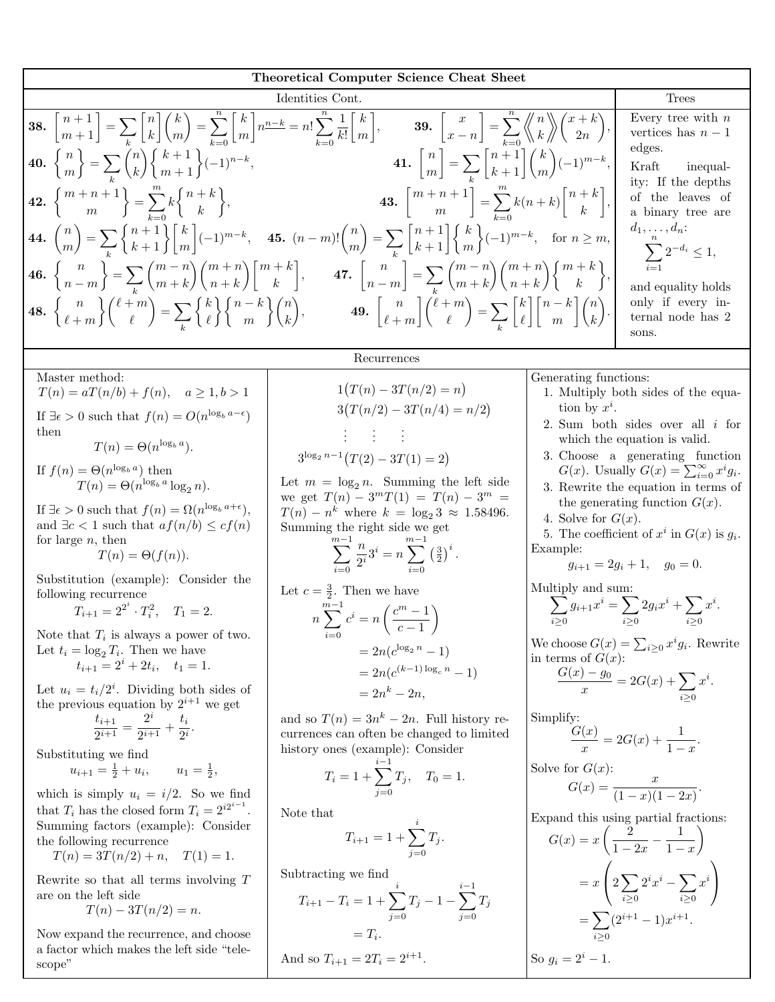| <b>Theoretical Computer Science Cheat Sheet</b>                                                                                                                                                                                                                                                                                                                        |                                                                                                                                                                                                |                       |                                                                                                                                   |  |  |
|------------------------------------------------------------------------------------------------------------------------------------------------------------------------------------------------------------------------------------------------------------------------------------------------------------------------------------------------------------------------|------------------------------------------------------------------------------------------------------------------------------------------------------------------------------------------------|-----------------------|-----------------------------------------------------------------------------------------------------------------------------------|--|--|
| Identities Cont.<br><b>Trees</b>                                                                                                                                                                                                                                                                                                                                       |                                                                                                                                                                                                |                       |                                                                                                                                   |  |  |
| <b>38.</b> $\begin{bmatrix} n+1 \\ m+1 \end{bmatrix} = \sum_{k} \begin{bmatrix} n \\ k \end{bmatrix} \binom{k}{m} = \sum_{k=0}^{n} \begin{bmatrix} k \\ m \end{bmatrix} n^{\frac{n-k}{2}} = n! \sum_{k=0}^{n} \frac{1}{k!} \begin{bmatrix} k \\ m \end{bmatrix}$ , <b>39.</b> $\begin{bmatrix} x \\ x-n \end{bmatrix} = \sum_{k=0}^{n} \binom{n}{k} \binom{x+k}{2n}$ , | Every tree with $n$<br>vertices has $n-1$<br>edges.                                                                                                                                            |                       |                                                                                                                                   |  |  |
| <b>40.</b> $\binom{n}{m}$ = $\sum_{k} \binom{n}{k} \binom{k+1}{m+1} (-1)^{n-k}$ ,                                                                                                                                                                                                                                                                                      | <b>41.</b> $\binom{n}{m} = \sum_{i} \binom{n+1}{k+1} \binom{k}{m} (-1)^{m-k},$                                                                                                                 |                       | Kraft<br>inequal-<br>ity: If the depths                                                                                           |  |  |
| <b>42.</b> $\binom{m+n+1}{m} = \sum_{k=0}^{m} k \binom{n+k}{k}$                                                                                                                                                                                                                                                                                                        | <b>43.</b> $\begin{bmatrix} m+n+1 \\ m \end{bmatrix} = \sum_{k=0}^{m} k(n+k) \begin{bmatrix} n+k \\ k \end{bmatrix}$                                                                           |                       | of the leaves of<br>a binary tree are                                                                                             |  |  |
|                                                                                                                                                                                                                                                                                                                                                                        | <b>44.</b> $\binom{n}{m} = \sum_{k=1}^n \binom{n+1}{k+1} \binom{k}{m} (-1)^{m-k}$ , <b>45.</b> $(n-m)! \binom{n}{m} = \sum_{k=1}^n \binom{n+1}{k+1} \binom{k}{m} (-1)^{m-k}$ , for $n \ge m$ , |                       | $d_1,\ldots,d_n$ :<br>$\sum_{i=1}^{n} 2^{-d_i} \leq 1,$                                                                           |  |  |
| <b>46.</b> $\begin{Bmatrix} n \\ n-m \end{Bmatrix} = \sum_{n} \binom{m-n}{m+k} \binom{m+n}{n+k} \binom{m+k}{k},$                                                                                                                                                                                                                                                       | 47. $\begin{bmatrix} n \\ n-m \end{bmatrix} = \sum_{n} \binom{m-n}{m+k} \binom{m+n}{n+k} \binom{m+k}{k},$                                                                                      |                       | and equality holds                                                                                                                |  |  |
| <b>48.</b> $\begin{Bmatrix} n \\ \ell+m \end{Bmatrix}$ $\begin{Bmatrix} \ell+m \\ \ell \end{Bmatrix}$ $=$ $\sum_{k} \begin{Bmatrix} k \\ \ell \end{Bmatrix}$ $\begin{Bmatrix} n-k \\ m \end{Bmatrix}$ $\begin{Bmatrix} n \\ k \end{Bmatrix}$                                                                                                                           | <b>49.</b> $\begin{bmatrix} n \\ \ell+m \end{bmatrix} {\ell+m \choose \ell} = \sum_{k} {k \brack \ell} {n-k \choose m} {n \choose k}.$                                                         |                       | only if every in-<br>ternal node has 2<br>sons.                                                                                   |  |  |
|                                                                                                                                                                                                                                                                                                                                                                        | Recurrences                                                                                                                                                                                    |                       |                                                                                                                                   |  |  |
| Master method:<br>$T(n) = aT(n/b) + f(n), \quad a \ge 1, b > 1$                                                                                                                                                                                                                                                                                                        | $1(T(n) - 3T(n/2) = n)$                                                                                                                                                                        | Generating functions: | 1. Multiply both sides of the equa-                                                                                               |  |  |
| If $\exists \epsilon > 0$ such that $f(n) = O(n^{\log_b a - \epsilon})$                                                                                                                                                                                                                                                                                                | $3(T(n/2) - 3T(n/4) = n/2)$                                                                                                                                                                    | tion by $x^i$ .       |                                                                                                                                   |  |  |
| then<br>$T(n) = \Theta(n^{\log_b a}).$                                                                                                                                                                                                                                                                                                                                 | de de d                                                                                                                                                                                        |                       | 2. Sum both sides over all $i$ for<br>which the equation is valid.                                                                |  |  |
| If $f(n) = \Theta(n^{\log_b a})$ then<br>$T(n) = \Theta(n^{\log_b a} \log_2 n).$                                                                                                                                                                                                                                                                                       | $3^{\log_2 n-1}(T(2)-3T(1)=2)$<br>Let $m = \log_2 n$ . Summing the left side                                                                                                                   |                       | 3. Choose a generating function<br>$G(x)$ . Usually $G(x) = \sum_{i=0}^{\infty} x^i g_i$ .<br>3. Rewrite the equation in terms of |  |  |
| If $\exists \epsilon > 0$ such that $f(n) = \Omega(n^{\log_b a + \epsilon}),$<br>and $\exists c < 1$ such that $af(n/b) \leq cf(n)$                                                                                                                                                                                                                                    | we get $T(n) - 3^mT(1) = T(n) - 3^m =$<br>$T(n) - n^k$ where $k = \log_2 3 \approx 1.58496$ .<br>Summing the right side we get                                                                 | 4. Solve for $G(x)$ . | the generating function $G(x)$ .<br>5. The coefficient of $x^i$ in $G(x)$ is $g_i$ .                                              |  |  |
| for large $n$ , then<br>$T(n) = \Theta(f(n)).$                                                                                                                                                                                                                                                                                                                         | $\sum_{i=0}^{n} \frac{n}{2^i} 3^i = n \sum_{i=0}^{n} \left(\frac{3}{2}\right)^i.$                                                                                                              | Example:              | $g_{i+1} = 2g_i + 1, \quad g_0 = 0.$                                                                                              |  |  |
| Substitution (example): Consider the<br>following recurrence                                                                                                                                                                                                                                                                                                           | Let $c = \frac{3}{2}$ . Then we have                                                                                                                                                           | Multiply and sum:     |                                                                                                                                   |  |  |
| $T_{i+1} = 2^{2^i} \cdot T_i^2$ , $T_1 = 2$ .<br>Note that $T_i$ is always a power of two.                                                                                                                                                                                                                                                                             | $n\sum_{i=1}^{n} c^{i} = n\left(\frac{c^{m}-1}{c-1}\right)$                                                                                                                                    |                       | $\sum_{i\geq 0} g_{i+1} x^i = \sum_{i\geq 0} 2g_i x^i + \sum_{i\geq 0} x^i.$                                                      |  |  |
| Let $t_i = \log_2 T_i$ . Then we have<br>$t_{i+1} = 2^i + 2t_i$ , $t_1 = 1$ .                                                                                                                                                                                                                                                                                          | $=2n(c^{\log_2 n}-1)$<br>$=2n(c^{(k-1)\log_c n}-1)$                                                                                                                                            | in terms of $G(x)$ :  | We choose $G(x) = \sum_{i \geq 0} x^i g_i$ . Rewrite                                                                              |  |  |
| Let $u_i = t_i/2^i$ . Dividing both sides of<br>the previous equation by $2^{i+1}$ we get                                                                                                                                                                                                                                                                              | $=2n^{k}-2n,$                                                                                                                                                                                  |                       | $\frac{G(x) - g_0}{x} = 2G(x) + \sum_{i > 0} x^i.$                                                                                |  |  |
| $\frac{t_{i+1}}{2^{i+1}} = \frac{2^i}{2^{i+1}} + \frac{t_i}{2^i}.$<br>Substituting we find                                                                                                                                                                                                                                                                             | and so $T(n) = 3n^k - 2n$ . Full history re-<br>currences can often be changed to limited<br>history ones (example): Consider                                                                  | Simplify:             | $\frac{G(x)}{G} = 2G(x) + \frac{1}{1-x}.$                                                                                         |  |  |
| $u_1 = \frac{1}{2},$<br>$u_{i+1} = \frac{1}{2} + u_i,$                                                                                                                                                                                                                                                                                                                 | $T_i = 1 + \sum_{i=0}^{i-1} T_j$ , $T_0 = 1$ .                                                                                                                                                 | Solve for $G(x)$ :    | $G(x) = \frac{x}{(1-x)(1-2x)}$                                                                                                    |  |  |
| which is simply $u_i = i/2$ . So we find<br>that $T_i$ has the closed form $T_i = 2^{i2^{i-1}}$ .<br>Summing factors (example): Consider                                                                                                                                                                                                                               | Note that                                                                                                                                                                                      |                       | Expand this using partial fractions:                                                                                              |  |  |
| the following recurrence<br>$T(n) = 3T(n/2) + n, \quad T(1) = 1.$                                                                                                                                                                                                                                                                                                      | $T_{i+1} = 1 + \sum_{i=0}^{n} T_i.$                                                                                                                                                            |                       | $G(x) = x \left( \frac{2}{1-2x} - \frac{1}{1-x} \right)$                                                                          |  |  |
| Rewrite so that all terms involving $T$<br>are on the left side<br>$T(n) - 3T(n/2) = n.$                                                                                                                                                                                                                                                                               | Subtracting we find<br>$T_{i+1} - T_i = 1 + \sum_{j=0}^{N} T_j - 1 - \sum_{j=0}^{N-1} T_j$                                                                                                     |                       | $= x \left( 2 \sum_{i>0} 2^i x^i - \sum_{i>0} x^i \right)$                                                                        |  |  |
|                                                                                                                                                                                                                                                                                                                                                                        |                                                                                                                                                                                                |                       | $=\sum (2^{i+1}-1)x^{i+1}.$                                                                                                       |  |  |

Now expand the recurrence, and choose a factor which makes the left side "telescope"

 $= T_i.$ And so  $T_{i+1} = 2T_i = 2^{i+1}$ .

 $i \geq 0$ 

So  $g_i = 2^i - 1$ .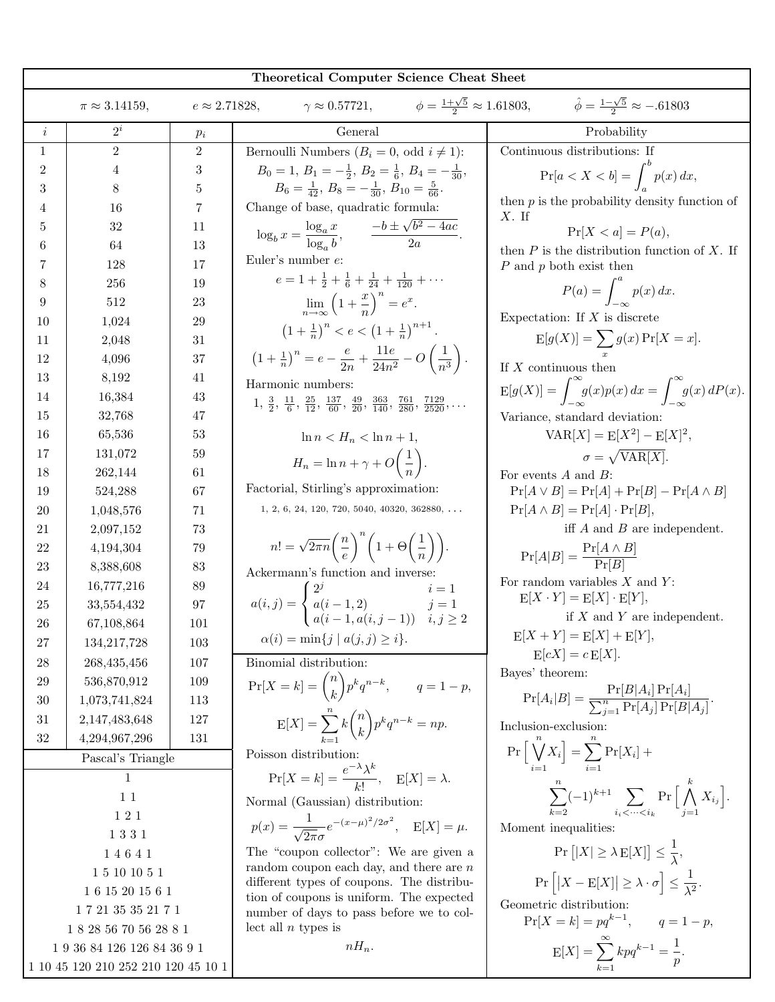|                                                 | Theoretical Computer Science Cheat Sheet                                                                                                                                       |                |                                                                                                                                           |                                                                                            |  |
|-------------------------------------------------|--------------------------------------------------------------------------------------------------------------------------------------------------------------------------------|----------------|-------------------------------------------------------------------------------------------------------------------------------------------|--------------------------------------------------------------------------------------------|--|
|                                                 | $\gamma \approx 0.57721,$ $\phi = \frac{1+\sqrt{5}}{2} \approx 1.61803,$ $\hat{\phi} = \frac{1-\sqrt{5}}{2} \approx -.61803$<br>$\pi \approx 3.14159,$<br>$e \approx 2.71828,$ |                |                                                                                                                                           |                                                                                            |  |
| $\it i$                                         | $2^{i}$                                                                                                                                                                        | $p_i$          | General                                                                                                                                   | Probability                                                                                |  |
| $\mathbf{1}$                                    | $\overline{2}$                                                                                                                                                                 | $\overline{2}$ | Bernoulli Numbers $(B_i = 0, \text{ odd } i \neq 1)$ :                                                                                    | Continuous distributions: If                                                               |  |
| $\overline{2}$                                  | 4                                                                                                                                                                              | 3              | $B_0 = 1, B_1 = -\frac{1}{2}, B_2 = \frac{1}{6}, B_4 = -\frac{1}{30},$                                                                    | $\Pr[a < X < b] = \int^{b} p(x) dx,$                                                       |  |
| 3                                               | 8                                                                                                                                                                              | 5              | $B_6 = \frac{1}{42}, B_8 = -\frac{1}{30}, B_{10} = \frac{5}{66}.$                                                                         | then $p$ is the probability density function of                                            |  |
| 4                                               | 16                                                                                                                                                                             | $\overline{7}$ | Change of base, quadratic formula:                                                                                                        | $X$ . If                                                                                   |  |
| 5                                               | 32                                                                                                                                                                             | 11             | $\log_b x = \frac{\log_a x}{\log_a b}, \qquad \frac{-b \pm \sqrt{b^2 - 4ac}}{2a}.$                                                        | $Pr[X < a] = P(a),$                                                                        |  |
| 6                                               | 64                                                                                                                                                                             | 13             | Euler's number $e$ :                                                                                                                      | then $P$ is the distribution function of $X$ . If                                          |  |
| 7                                               | 128                                                                                                                                                                            | 17             | $e = 1 + \frac{1}{2} + \frac{1}{6} + \frac{1}{24} + \frac{1}{120} + \cdots$                                                               | $P$ and $p$ both exist then                                                                |  |
| 8                                               | 256<br>512                                                                                                                                                                     | 19<br>23       |                                                                                                                                           | $P(a) = \int_{-\infty}^a p(x) dx.$                                                         |  |
| 9<br>10                                         |                                                                                                                                                                                | 29             | $\lim_{n\to\infty} \left(1+\frac{x}{n}\right)^n=e^x.$                                                                                     | Expectation: If $X$ is discrete                                                            |  |
| 11                                              | 1,024<br>2,048                                                                                                                                                                 | 31             | $\left(1+\frac{1}{n}\right)^n < e < \left(1+\frac{1}{n}\right)^{n+1}.$                                                                    | $E[g(X)] = \sum g(x) Pr[X = x].$                                                           |  |
| 12                                              | 4,096                                                                                                                                                                          | 37             | $\left(1+\frac{1}{n}\right)^n = e - \frac{e}{2n} + \frac{11e}{24n^2} - O\left(\frac{1}{n^3}\right).$                                      |                                                                                            |  |
| 13                                              | 8,192                                                                                                                                                                          | 41             |                                                                                                                                           | If $X$ continuous then                                                                     |  |
| 14                                              | 16,384                                                                                                                                                                         | 43             | Harmonic numbers:                                                                                                                         | $E[g(X)] = \int_{-\infty}^{\infty} g(x)p(x) dx = \int_{-\infty}^{\infty} g(x) dP(x).$      |  |
| 15                                              | 32,768                                                                                                                                                                         | 47             | $1, \frac{3}{2}, \frac{11}{6}, \frac{25}{12}, \frac{137}{60}, \frac{49}{20}, \frac{363}{140}, \frac{761}{280}, \frac{7129}{2520}, \ldots$ | Variance, standard deviation:                                                              |  |
| 16                                              | 65,536                                                                                                                                                                         | 53             | $\ln n < H_n < \ln n + 1$ ,                                                                                                               | $VAR[X] = E[X^2] - E[X]^2$ ,                                                               |  |
| 17                                              | 131,072                                                                                                                                                                        | 59             |                                                                                                                                           | $\sigma = \sqrt{\text{VAR}[X]}$ .                                                          |  |
| 18                                              | 262,144                                                                                                                                                                        | 61             | $H_n = \ln n + \gamma + O\left(\frac{1}{n}\right).$                                                                                       | For events $A$ and $B$ :                                                                   |  |
| 19                                              | 524,288                                                                                                                                                                        | 67             | Factorial, Stirling's approximation:                                                                                                      | $Pr[A \vee B] = Pr[A] + Pr[B] - Pr[A \wedge B]$                                            |  |
| 20                                              | 1,048,576                                                                                                                                                                      | 71             | $1, 2, 6, 24, 120, 720, 5040, 40320, 362880, \ldots$                                                                                      | $Pr[A \wedge B] = Pr[A] \cdot Pr[B],$                                                      |  |
| 21                                              | 2,097,152                                                                                                                                                                      | 73             |                                                                                                                                           | iff $A$ and $B$ are independent.                                                           |  |
| 22                                              | 4,194,304                                                                                                                                                                      | 79             | $n! = \sqrt{2\pi n} \left(\frac{n}{e}\right)^n \left(1 + \Theta\left(\frac{1}{n}\right)\right).$                                          | $Pr[A B] = \frac{Pr[A \wedge B]}{Pr[B]}$                                                   |  |
| 23                                              | 8,388,608                                                                                                                                                                      | 83             | Ackermann's function and inverse:                                                                                                         |                                                                                            |  |
| 24                                              | 16,777,216                                                                                                                                                                     | 89             |                                                                                                                                           | For random variables $X$ and $Y$ :<br>$E[X \cdot Y] = E[X] \cdot E[Y],$                    |  |
| 25                                              | 33,554,432                                                                                                                                                                     | 97             | $a(i, j) = \begin{cases} 2^{j} & i = 1 \\ a(i - 1, 2) & j = 1 \\ a(i - 1, a(i, j - 1)) & i, j \ge 2 \end{cases}$                          | if $X$ and $Y$ are independent.                                                            |  |
| 26                                              | 67,108,864                                                                                                                                                                     | 101            |                                                                                                                                           | $E[X + Y] = E[X] + E[Y],$                                                                  |  |
| 27                                              | 134, 217, 728                                                                                                                                                                  | 103            | $\alpha(i) = \min\{j \mid a(j, j) \geq i\}.$                                                                                              | $E[cX] = c E[X].$                                                                          |  |
| 28                                              | 268,435,456                                                                                                                                                                    | 107            | Binomial distribution:                                                                                                                    | Bayes' theorem:                                                                            |  |
| 29                                              | 536,870,912                                                                                                                                                                    | 109            | $\Pr[X = k] = \binom{n}{k} p^k q^{n-k}, \qquad q = 1 - p,$                                                                                |                                                                                            |  |
| 30                                              | 1,073,741,824                                                                                                                                                                  | 113            |                                                                                                                                           | $Pr[A_i B] = \frac{Pr[B A_i]Pr[A_i]}{\sum_{i=1}^{n} Pr[A_i]Pr[B A_i]}$                     |  |
| 31<br>32                                        | 2,147,483,648<br>4,294,967,296                                                                                                                                                 | 127<br>131     | $E[X] = \sum_{k=1}^{n} k \binom{n}{k} p^{k} q^{n-k} = np.$                                                                                | Inclusion-exclusion:                                                                       |  |
|                                                 | Pascal's Triangle                                                                                                                                                              |                | Poisson distribution:                                                                                                                     | $\Pr\left[\right \bigvee^{n} X_{i}\right]=\sum_{i=1} \Pr[X_{i}] +$                         |  |
|                                                 | $\mathbf{1}$                                                                                                                                                                   |                | $\Pr[X = k] = \frac{e^{-\lambda}\lambda^k}{k!}, \quad E[X] = \lambda.$                                                                    |                                                                                            |  |
| 11                                              |                                                                                                                                                                                |                | Normal (Gaussian) distribution:                                                                                                           | $\sum_{k=2}^n (-1)^{k+1} \sum_{i_i < \dots < i_k} \Pr\Big[\bigwedge_{j=1}^k X_{i_j}\Big].$ |  |
| $1\ 2\ 1$                                       |                                                                                                                                                                                |                |                                                                                                                                           |                                                                                            |  |
| 1331                                            |                                                                                                                                                                                |                | $p(x) = \frac{1}{\sqrt{2\pi}\sigma}e^{-(x-\mu)^2/2\sigma^2}, \quad E[X] = \mu.$                                                           | Moment inequalities:                                                                       |  |
| 14641                                           |                                                                                                                                                                                |                | The "coupon collector": We are given a                                                                                                    | $\Pr [ X  \geq \lambda E[X]] \leq \frac{1}{\lambda},$                                      |  |
| $1\ 5\ 10\ 10\ 5\ 1$                            |                                                                                                                                                                                |                | random coupon each day, and there are $n$<br>different types of coupons. The distribu-                                                    | $\Pr\left[ X - \mathrm{E}[X]  \geq \lambda \cdot \sigma\right] \leq \frac{1}{\lambda^2}.$  |  |
|                                                 | 16 15 20 15 6 1                                                                                                                                                                |                | tion of coupons is uniform. The expected                                                                                                  | Geometric distribution:                                                                    |  |
| $1\ 7\ 21\ 35\ 35\ 21\ 7\ 1$                    |                                                                                                                                                                                |                | number of days to pass before we to col-                                                                                                  | $Pr[X = k] = pq^{k-1}, \qquad q = 1-p,$                                                    |  |
| $1\ 8\ 28\ 56\ 70\ 56\ 28\ 8\ 1$                |                                                                                                                                                                                |                | lect all $n$ types is                                                                                                                     |                                                                                            |  |
| $1\ 9\ 36\ 84\ 126\ 126\ 84\ 36\ 9\ 1$          |                                                                                                                                                                                |                | $nH_n$ .                                                                                                                                  | $E[X] = \sum_{k=1}^{\infty} k p q^{k-1} = \frac{1}{p}.$                                    |  |
| $1\ 10\ 45\ 120\ 210\ 252\ 210\ 120\ 45\ 10\ 1$ |                                                                                                                                                                                |                |                                                                                                                                           |                                                                                            |  |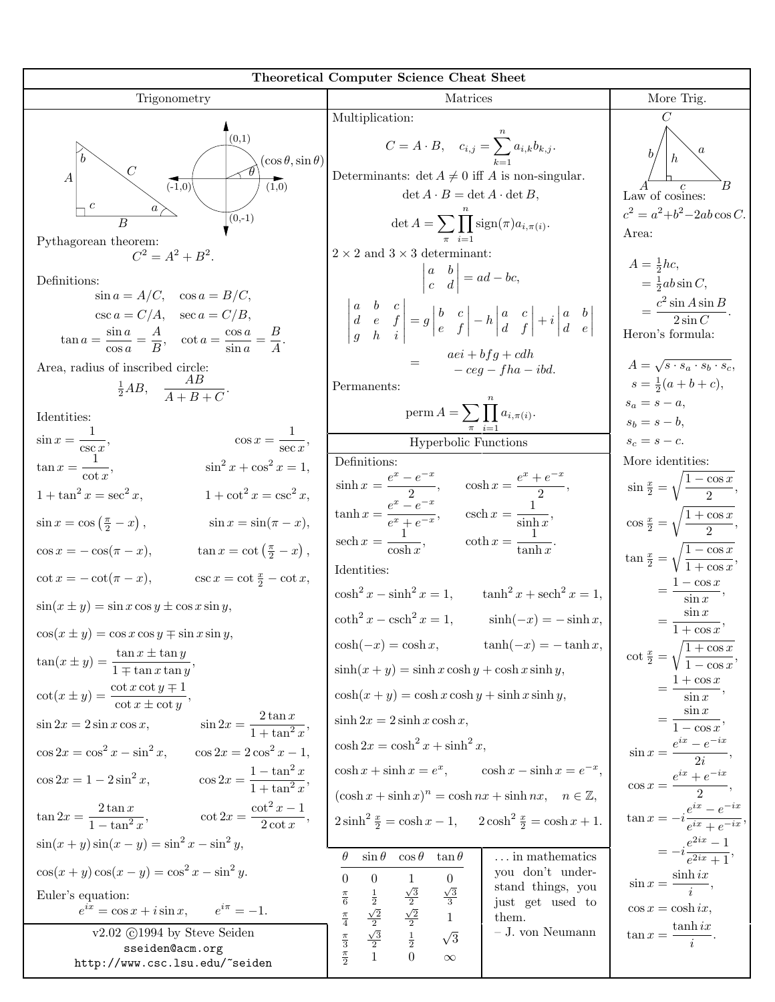| <b>Theoretical Computer Science Cheat Sheet</b>                                                   |                                                                                                                                                                                                                                                                                                                                                                                                                                                                    |                                                            |  |  |
|---------------------------------------------------------------------------------------------------|--------------------------------------------------------------------------------------------------------------------------------------------------------------------------------------------------------------------------------------------------------------------------------------------------------------------------------------------------------------------------------------------------------------------------------------------------------------------|------------------------------------------------------------|--|--|
| Trigonometry                                                                                      | Matrices                                                                                                                                                                                                                                                                                                                                                                                                                                                           | More Trig.                                                 |  |  |
|                                                                                                   | Multiplication:                                                                                                                                                                                                                                                                                                                                                                                                                                                    | C                                                          |  |  |
| (0,1)<br>$(\cos \theta, \sin \theta)$                                                             | $C=A\cdot B, \quad c_{i,j}=\sum_{i=1}^{\infty}a_{i,k}b_{k,j}.$                                                                                                                                                                                                                                                                                                                                                                                                     |                                                            |  |  |
| $\boldsymbol{A}$<br>$(-1,0)$<br>(1,0)                                                             | Determinants: $\det A \neq 0$ iff A is non-singular.                                                                                                                                                                                                                                                                                                                                                                                                               |                                                            |  |  |
| $(0,-1)$                                                                                          | $\det A \cdot B = \det A \cdot \det B,$                                                                                                                                                                                                                                                                                                                                                                                                                            | Law of cosines:<br>$c^2 = a^2+b^2-2ab\cos C.$              |  |  |
| $\overline{B}$<br>Pythagorean theorem:                                                            | $\det A = \sum \prod_{i} \text{sign}(\pi) a_{i,\pi(i)}.$                                                                                                                                                                                                                                                                                                                                                                                                           | Area:                                                      |  |  |
| $C^2 = A^2 + B^2$ .                                                                               | $2 \times 2$ and $3 \times 3$ determinant:                                                                                                                                                                                                                                                                                                                                                                                                                         | $A=\frac{1}{2}\hbar c$ ,                                   |  |  |
| Definitions:<br>$\sin a = A/C$ , $\cos a = B/C$ ,                                                 | $\begin{vmatrix} a & b \\ c & d \end{vmatrix} = ad - bc,$                                                                                                                                                                                                                                                                                                                                                                                                          | $=\frac{1}{2}ab\sin C,$                                    |  |  |
| $\csc a = C/A$ , $\sec a = C/B$ ,                                                                 | $\left \begin{array}{ccc c} a & b & c\\d & e & f\\ g & h & i \end{array}\right =g\left \begin{array}{cc} b & c\\e & f \end{array}\right -h\left \begin{array}{cc} a & c\\d & f \end{array}\right +i\left \begin{array}{cc} a & b\\d & e \end{array}\right $                                                                                                                                                                                                        | $=\frac{c^2\sin A\sin B}{2\sin C}.$                        |  |  |
| $\tan a = \frac{\sin a}{\cos a} = \frac{A}{B}$ , $\cot a = \frac{\cos a}{\sin a} = \frac{B}{A}$ . |                                                                                                                                                                                                                                                                                                                                                                                                                                                                    | Heron's formula:                                           |  |  |
| Area, radius of inscribed circle:                                                                 | $=\qquad \begin{array}{lll} a e i + b f g + c d h \\ - c e g - f h a - i b d. \end{array}$                                                                                                                                                                                                                                                                                                                                                                         | $A = \sqrt{s \cdot s_a \cdot s_b \cdot s_c},$              |  |  |
| $\frac{1}{2}AB$ , $\frac{AB}{A+B+C}$ .                                                            | Permanents:                                                                                                                                                                                                                                                                                                                                                                                                                                                        | $s = \frac{1}{2}(a+b+c),$                                  |  |  |
| Identities:                                                                                       | perm $A = \sum \prod a_{i,\pi(i)}$ .                                                                                                                                                                                                                                                                                                                                                                                                                               | $s_a = s - a,$<br>$s_b = s - b$ ,                          |  |  |
| $\cos x = \frac{1}{\sec x},$                                                                      | Hyperbolic Functions                                                                                                                                                                                                                                                                                                                                                                                                                                               | $s_c = s - c.$                                             |  |  |
| $\sin x = \frac{1}{\csc x},$<br>$\tan x = \frac{1}{\cot x},$<br>$\sin^2 x + \cos^2 x = 1,$        | Definitions:                                                                                                                                                                                                                                                                                                                                                                                                                                                       | More identities:                                           |  |  |
| $1 + \tan^2 x = \sec^2 x,$<br>$1 + \cot^2 x = \csc^2 x,$                                          |                                                                                                                                                                                                                                                                                                                                                                                                                                                                    | $\sin \frac{x}{2} = \sqrt{\frac{1 - \cos x}{2}},$          |  |  |
| $\sin x = \cos \left(\frac{\pi}{2} - x\right),$<br>$\sin x = \sin(\pi - x),$                      | $\begin{aligned} &\sinh x = \frac{e^x - e^{-x}}{2}, \qquad \cosh x = \frac{e^x + e^{-x}}{2}, \\ &\tanh x = \frac{e^x - e^{-x}}{e^x + e^{-x}}, \qquad \operatorname{csch} x = \frac{1}{\sinh x}, \\ &\operatorname{sech} x = \frac{1}{\cosh x}, \qquad \coth x = \frac{1}{\tanh x}. \end{aligned}$                                                                                                                                                                  | $\cos\frac{x}{2} = \sqrt{\frac{1+\cos x}{2}},$             |  |  |
| $\tan x = \cot \left(\frac{\pi}{2} - x\right),$<br>$\cos x = -\cos(\pi - x),$                     |                                                                                                                                                                                                                                                                                                                                                                                                                                                                    | $\tan \frac{x}{2} = \sqrt{\frac{1-\cos x}{1+\cos x}},$     |  |  |
| $\csc x = \cot \frac{x}{2} - \cot x,$<br>$\cot x = -\cot(\pi - x),$                               | Identities:<br>$\cosh^2 x - \sinh^2 x = 1$ , $\tanh^2 x + \operatorname{sech}^2 x = 1$ ,                                                                                                                                                                                                                                                                                                                                                                           | $=\frac{1-\cos x}{\sin x},$                                |  |  |
| $sin(x \pm y) = sin x cos y \pm cos x sin y,$                                                     | $\coth^2 x - \operatorname{csch}^2 x = 1, \qquad \sinh(-x) = -\sinh x,$                                                                                                                                                                                                                                                                                                                                                                                            | $=\frac{\sin x}{1+\cos x},$                                |  |  |
| $\cos(x \pm y) = \cos x \cos y \mp \sin x \sin y,$                                                | $\cosh(-x) = \cosh x, \qquad \tanh(-x) = -\tanh x,$                                                                                                                                                                                                                                                                                                                                                                                                                |                                                            |  |  |
| $\tan(x \pm y) = \frac{\tan x \pm \tan y}{1 \mp \tan x \tan y},$                                  | $\sinh(x+y) = \sinh x \cosh y + \cosh x \sinh y,$                                                                                                                                                                                                                                                                                                                                                                                                                  | $\cot \frac{x}{2} = \sqrt{\frac{1 + \cos x}{1 - \cos x}},$ |  |  |
| $\cot(x \pm y) = \frac{\cot x \cot y \mp 1}{\cot x \pm \cot y},$                                  | $\cosh(x+y) = \cosh x \cosh y + \sinh x \sinh y,$                                                                                                                                                                                                                                                                                                                                                                                                                  | $=\frac{1+\cos x}{\sin x},$                                |  |  |
| $\sin 2x = \frac{2 \tan x}{1 + \tan^2 x},$<br>$\sin 2x = 2 \sin x \cos x,$                        | $\sinh 2x = 2 \sinh x \cosh x,$                                                                                                                                                                                                                                                                                                                                                                                                                                    | $=\frac{\sin x}{1-\cos x},$                                |  |  |
| $\cos 2x = \cos^2 x - \sin^2 x, \qquad \cos 2x = 2\cos^2 x - 1,$                                  | $\cosh 2x = \cosh^2 x + \sinh^2 x,$                                                                                                                                                                                                                                                                                                                                                                                                                                | $\sin x = \frac{e^{ix} - e^{-ix}}{2i},$                    |  |  |
| $\cos 2x = 1 - 2\sin^2 x, \qquad \cos 2x = \frac{1 - \tan^2 x}{1 + \tan^2 x},$                    | $\cosh x + \sinh x = e^x$ , $\cosh x - \sinh x = e^{-x}$ ,                                                                                                                                                                                                                                                                                                                                                                                                         | $\cos x = \frac{e^{ix} + e^{-ix}}{2},$                     |  |  |
| $\tan 2x = \frac{2 \tan x}{1 - \tan^2 x},$ $\cot 2x = \frac{\cot^2 x - 1}{2 \cot x},$             | $(\cosh x + \sinh x)^n = \cosh nx + \sinh nx, \quad n \in \mathbb{Z},$<br>$2\sinh^2 \frac{x}{2} = \cosh x - 1$ , $2\cosh^2 \frac{x}{2} = \cosh x + 1$ .                                                                                                                                                                                                                                                                                                            | $\tan x = -i \frac{e^{ix} - e^{-ix}}{e^{ix} + e^{-ix}}$    |  |  |
| $\sin(x+y)\sin(x-y) = \sin^2 x - \sin^2 y,$                                                       | $\theta$<br>$\cos\theta$ $\tan\theta$<br>$\dots$ in mathematics<br>$\sin \theta$                                                                                                                                                                                                                                                                                                                                                                                   | $=-i\frac{e^{2ix}-1}{e^{2ix}+1},$                          |  |  |
| $\cos(x+y)\cos(x-y) = \cos^2 x - \sin^2 y.$                                                       | you don't under-<br>$\Omega$<br>$\overline{0}$<br>$\overline{0}$<br>$\mathbf{1}$                                                                                                                                                                                                                                                                                                                                                                                   | $\sin x = \frac{\sinh ix}{i},$                             |  |  |
| Euler's equation:<br>$e^{ix} = \cos x + i \sin x,$ $e^{i\pi} = -1.$                               | stand things, you<br>$\frac{\sqrt{3}}{2}$ $\frac{\sqrt{2}}{2}$ $\frac{1}{2}$ $\frac{1}{2}$ $\frac{1}{2}$ $\frac{1}{2}$ $\frac{1}{2}$ $\frac{1}{2}$ $\frac{1}{2}$ $\frac{1}{2}$ $\frac{1}{2}$ $\frac{1}{2}$ $\frac{1}{2}$ $\frac{1}{2}$ $\frac{1}{2}$ $\frac{1}{2}$ $\frac{1}{2}$ $\frac{1}{2}$ $\frac{1}{2}$ $\frac{1}{2}$<br>$\frac{\sqrt{3}}{3}$<br>$\frac{1}{2}$ $\frac{\sqrt{2}}{2}$ $\frac{\sqrt{3}}{2}$ $\frac{1}{2}$<br>$\frac{\pi}{6}$<br>just get used to | $\cos x = \cosh ix,$                                       |  |  |
|                                                                                                   | $\frac{\pi}{4}$<br>$\qquad \qquad 1$<br>them.                                                                                                                                                                                                                                                                                                                                                                                                                      |                                                            |  |  |
| v2.02 C1994 by Steve Seiden<br>sseiden@acm.org                                                    | $\sim$ J. von Neumann<br>$\sqrt{3}$<br>$\frac{\pi}{3}$ $\frac{\pi}{2}$                                                                                                                                                                                                                                                                                                                                                                                             | $\tan x = \frac{\tanh ix}{i}.$                             |  |  |
| http://www.csc.lsu.edu/~seiden                                                                    | $\Omega$<br>$\infty$                                                                                                                                                                                                                                                                                                                                                                                                                                               |                                                            |  |  |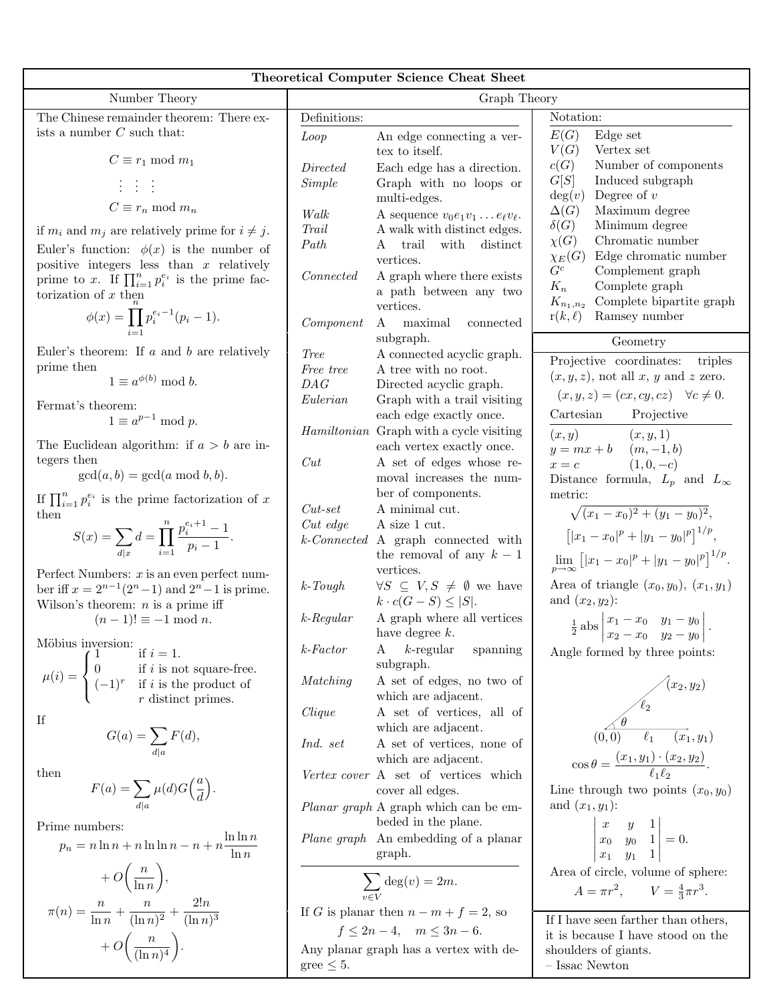|                                                                                                                                                                                       |                 | <b>Theoretical Computer Science Cheat Sheet</b>                                 |                                                                                                  |  |
|---------------------------------------------------------------------------------------------------------------------------------------------------------------------------------------|-----------------|---------------------------------------------------------------------------------|--------------------------------------------------------------------------------------------------|--|
| Number Theory                                                                                                                                                                         | Graph Theory    |                                                                                 |                                                                                                  |  |
| The Chinese remainder theorem: There ex-                                                                                                                                              | Definitions:    |                                                                                 | Notation:                                                                                        |  |
| ists a number $C$ such that:                                                                                                                                                          | Loop            | An edge connecting a ver-<br>tex to itself.                                     | E(G)<br>Edge set<br>V(G)<br>Vertex set                                                           |  |
| $C \equiv r_1 \mod m_1$                                                                                                                                                               | Directed        | Each edge has a direction.                                                      | c(G)<br>Number of components<br>G[S]                                                             |  |
| 1 1 1                                                                                                                                                                                 | <i>Simple</i>   | Graph with no loops or<br>multi-edges.                                          | Induced subgraph<br>Degree of $v$<br>deg(v)                                                      |  |
| $C \equiv r_n \mod m_n$                                                                                                                                                               | Walk            | A sequence $v_0e_1v_1 \ldots e_\ell v_\ell$ .                                   | $\Delta(G)$<br>Maximum degree                                                                    |  |
| if $m_i$ and $m_j$ are relatively prime for $i \neq j$ .                                                                                                                              | Trail<br>Path   | A walk with distinct edges.<br>with<br>trail<br>distinct<br>A                   | $\delta(G)$<br>Minimum degree<br>Chromatic number<br>$\chi(G)$                                   |  |
| Euler's function: $\phi(x)$ is the number of<br>positive integers less than $x$ relatively<br>prime to x. If $\prod_{i=1}^n p_i^{e_i}$ is the prime fac-                              | Connected       | vertices.<br>A graph where there exists                                         | Edge chromatic number<br>$\chi_E(G)$<br>${\cal G}^c$<br>Complement graph                         |  |
| torization of $x$ then                                                                                                                                                                |                 | a path between any two<br>vertices.                                             | $K_n$<br>Complete graph<br>Complete bipartite graph<br>$K_{n_1,n_2}$                             |  |
| $\phi(x) = \prod p_i^{e_i-1}(p_i-1).$                                                                                                                                                 | Component       | maximal<br>$\mathbf{A}$<br>connected<br>subgraph.                               | Ramsey number<br>$r(k, \ell)$<br>Geometry                                                        |  |
| Euler's theorem: If $a$ and $b$ are relatively                                                                                                                                        | <i>Tree</i>     | A connected acyclic graph.                                                      | Projective coordinates:<br>triples                                                               |  |
| prime then<br>$1 \equiv a^{\phi(b)} \bmod b.$                                                                                                                                         | Free tree       | A tree with no root.                                                            | $(x, y, z)$ , not all x, y and z zero.                                                           |  |
|                                                                                                                                                                                       | DAG<br>Eulerian | Directed acyclic graph.<br>Graph with a trail visiting                          | $(x, y, z) = (cx, cy, cz) \quad \forall c \neq 0.$                                               |  |
| Fermat's theorem:<br>$1 \equiv a^{p-1} \bmod p$ .                                                                                                                                     |                 | each edge exactly once.                                                         | Cartesian<br>Projective                                                                          |  |
| The Euclidean algorithm: if $a > b$ are in-                                                                                                                                           |                 | Hamiltonian Graph with a cycle visiting<br>each vertex exactly once.            | (x, y)<br>(x, y, 1)<br>$y = mx + b$<br>$(m, -1, b)$                                              |  |
| tegers then                                                                                                                                                                           | Cut             | A set of edges whose re-                                                        | $(1,0,-c)$<br>$x = c$                                                                            |  |
| $gcd(a, b) = gcd(a \mod b, b).$                                                                                                                                                       |                 | moval increases the num-<br>ber of components.                                  | Distance formula, $L_p$ and $L_{\infty}$<br>metric:                                              |  |
| If $\prod_{i=1}^n p_i^{e_i}$ is the prime factorization of x<br>then                                                                                                                  | $Cut-set$       | A minimal cut.                                                                  | $\sqrt{(x_1-x_0)^2+(y_1-y_0)^2},$                                                                |  |
| $S(x) = \sum_{d x} d = \prod_{i=1}^{n} \frac{p_i^{e_i+1}-1}{p_i-1}.$                                                                                                                  | Cut edge        | A size 1 cut.<br>k-Connected A graph connected with                             | $\left[  x_1-x_0 ^p+ y_1-y_0 ^p \right]^{1/p},$                                                  |  |
| Perfect Numbers: $x$ is an even perfect num-                                                                                                                                          |                 | the removal of any $k-1$<br>vertices.                                           | $\lim_{p \to \infty} [(x_1 - x_0)^p +  y_1 - y_0 ^p]^{1/p}.$                                     |  |
| ber iff $x = 2^{n-1}(2^n - 1)$ and $2^n - 1$ is prime.<br>Wilson's theorem: $n$ is a prime iff                                                                                        | $k$ -Tough      | $\forall S \subseteq V, S \neq \emptyset$ we have<br>$k \cdot c(G-S) \leq  S .$ | Area of triangle $(x_0, y_0)$ , $(x_1, y_1)$<br>and $(x_2, y_2)$ :                               |  |
| $(n-1)! \equiv -1 \mod n$ .                                                                                                                                                           | $k$ -Regular    | A graph where all vertices<br>have degree $k$ .                                 | $rac{1}{2}$ abs $\begin{vmatrix} x_1 - x_0 & y_1 - y_0 \\ x_2 - x_0 & y_2 - y_0 \end{vmatrix}$ . |  |
| Möbius inversion:<br>if $i=1$ .                                                                                                                                                       | $k$ -Factor     | $k$ -regular<br>spanning<br>A<br>subgraph.                                      | Angle formed by three points:                                                                    |  |
| $\mu(i) = \begin{cases} 1 & \text{if } i = 1. \\ 0 & \text{if } i \text{ is not square-free.} \\ (-1)^r & \text{if } i \text{ is the product of} \end{cases}$<br>$r$ distinct primes. | Matching        | A set of edges, no two of<br>which are adjacent.                                |                                                                                                  |  |
| If                                                                                                                                                                                    | Clique          | A set of vertices, all of<br>which are adjacent.                                | $(x_2, y_2)$<br>$\overbrace{(0,0)}^{\ell_2}$<br>$\overbrace{(0,0)}^{\ell_1}$<br>$(x_1, y_1)$     |  |
| $G(a) = \sum_{d a} F(d),$                                                                                                                                                             | Ind. set        | A set of vertices, none of<br>which are adjacent.                               | $\cos \theta = \frac{(x_1, y_1) \cdot (x_2, y_2)}{\ell_1 \ell_2}.$                               |  |
| then<br>$F(a) = \sum_{d a} \mu(d) G\left(\frac{a}{d}\right).$                                                                                                                         |                 | Vertex cover A set of vertices which<br>cover all edges.                        | Line through two points $(x_0, y_0)$                                                             |  |
|                                                                                                                                                                                       |                 | <i>Planar graph</i> A graph which can be em-<br>beded in the plane.             | and $(x_1,y_1)$ :                                                                                |  |
| Prime numbers:<br>$p_n = n \ln n + n \ln \ln n - n + n \frac{\ln \ln n}{\ln n}$                                                                                                       |                 | Plane graph An embedding of a planar                                            | $\begin{vmatrix} x & y & 1 \\ x_0 & y_0 & 1 \\ x_1 & y_1 & 1 \end{vmatrix} = 0.$                 |  |
|                                                                                                                                                                                       |                 | graph.                                                                          |                                                                                                  |  |
| $+O\left(\frac{n}{\ln n}\right),$                                                                                                                                                     |                 | $\sum_{v \in V} \deg(v) = 2m.$                                                  | Area of circle, volume of sphere:<br>$A = \pi r^2$ , $V = \frac{4}{3}\pi r^3$ .                  |  |
| $\pi(n) = \frac{n}{\ln n} + \frac{n}{(\ln n)^2} + \frac{2!n}{(\ln n)^3}$                                                                                                              |                 | If G is planar then $n - m + f = 2$ , so<br>$f \leq 2n - 4$ , $m \leq 3n - 6$ . | If I have seen farther than others,                                                              |  |
| $+O\left(\frac{n}{(\ln n)^4}\right).$                                                                                                                                                 | gree $\leq 5$ . | Any planar graph has a vertex with de-                                          | it is because I have stood on the<br>shoulders of giants.<br>$-$ Issac Newton                    |  |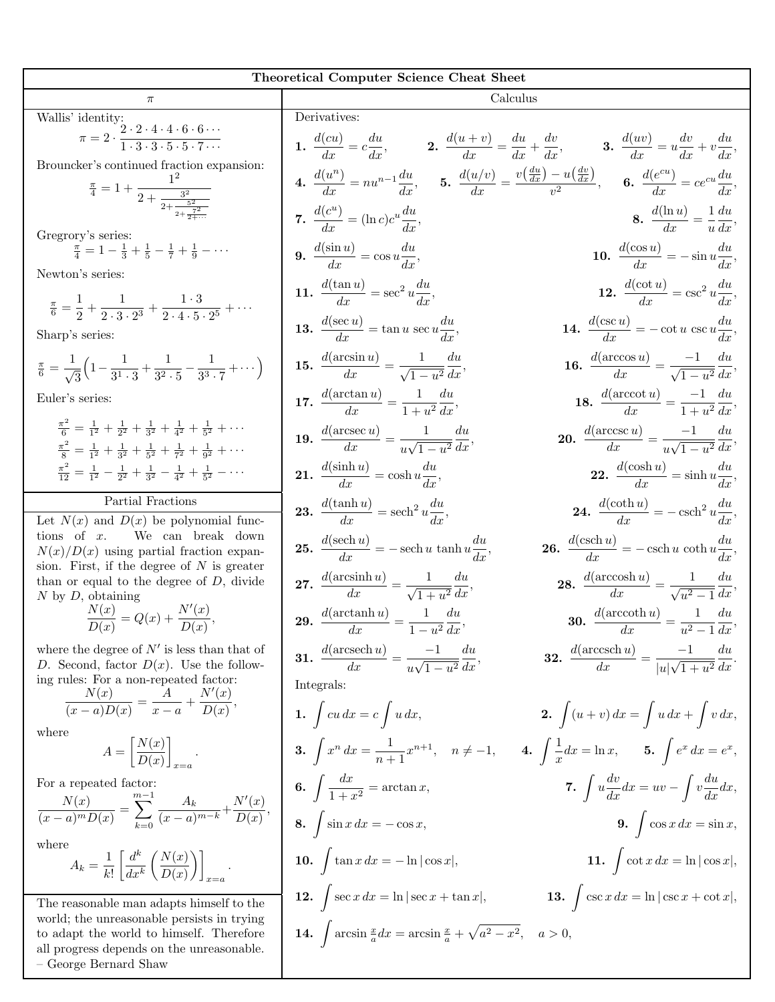| <b>Theoretical Computer Science Cheat Sheet</b>                                                                                                                                                                |                                                                                                |                                                                                                                                                                                                     |  |  |  |
|----------------------------------------------------------------------------------------------------------------------------------------------------------------------------------------------------------------|------------------------------------------------------------------------------------------------|-----------------------------------------------------------------------------------------------------------------------------------------------------------------------------------------------------|--|--|--|
| $\pi$                                                                                                                                                                                                          | Calculus                                                                                       |                                                                                                                                                                                                     |  |  |  |
| Wallis' identity:                                                                                                                                                                                              | Derivatives:                                                                                   |                                                                                                                                                                                                     |  |  |  |
| $\pi = 2 \cdot \frac{2 \cdot 2 \cdot 4 \cdot 4 \cdot 6 \cdot 6 \cdots}{1 \cdot 3 \cdot 3 \cdot 5 \cdot 5 \cdot 7 \cdots}$                                                                                      |                                                                                                | 1. $\frac{d(cu)}{dx} = c\frac{du}{dx}$ , 2. $\frac{d(u+v)}{dx} = \frac{du}{dx} + \frac{dv}{dx}$ , 3. $\frac{d(uv)}{dx} = u\frac{dv}{dx} + v\frac{du}{dx}$                                           |  |  |  |
| Brouncker's continued fraction expansion:<br>$\frac{\pi}{4} = 1 + \frac{1}{2 + \frac{3^2}{2 + \frac{5^2}{2 + \frac{7^2}{2}}}}$                                                                                 |                                                                                                | <b>4.</b> $\frac{d(u^n)}{dx} = nu^{n-1}\frac{du}{dx}$ , <b>5.</b> $\frac{d(u/v)}{dx} = \frac{v(\frac{du}{dx}) - u(\frac{dv}{dx})}{v^2}$ , <b>6.</b> $\frac{d(e^{cu})}{dx} = ce^{cu}\frac{du}{dx}$ , |  |  |  |
| Gregrory's series:                                                                                                                                                                                             | 7. $\frac{d(c^u)}{dr} = (\ln c)c^u \frac{du}{dr}$                                              | <b>8.</b> $\frac{d(\ln u)}{dx} = \frac{1}{u}\frac{du}{dx}$                                                                                                                                          |  |  |  |
| $\frac{\pi}{4} = 1 - \frac{1}{3} + \frac{1}{5} - \frac{1}{7} + \frac{1}{9} - \cdots$<br>Newton's series:                                                                                                       | <b>9.</b> $\frac{d(\sin u)}{dx} = \cos u \frac{du}{dx},$                                       | 10. $\frac{d(\cos u)}{dx} = -\sin u \frac{du}{dx},$                                                                                                                                                 |  |  |  |
| $\frac{\pi}{6} = \frac{1}{2} + \frac{1}{2 \cdot 3 \cdot 2^3} + \frac{1 \cdot 3}{2 \cdot 4 \cdot 5 \cdot 2^5} + \cdots$                                                                                         | 11. $\frac{d(\tan u)}{dx} = \sec^2 u \frac{du}{dx}$                                            | 12. $\frac{d(\cot u)}{dx} = \csc^2 u \frac{du}{dx},$                                                                                                                                                |  |  |  |
| Sharp's series:                                                                                                                                                                                                | <b>13.</b> $\frac{d(\sec u)}{dx} = \tan u \sec u \frac{du}{dx},$                               | 14. $\frac{d(\csc u)}{dx} = -\cot u \csc u \frac{du}{dx},$                                                                                                                                          |  |  |  |
| $\frac{\pi}{6} = \frac{1}{\sqrt{3}} \left( 1 - \frac{1}{3^1 \cdot 3} + \frac{1}{3^2 \cdot 5} - \frac{1}{3^3 \cdot 7} + \cdots \right)$                                                                         | <b>15.</b> $\frac{d(\arcsin u)}{dx} = \frac{1}{\sqrt{1-u^2}} \frac{du}{dx}$                    | <b>16.</b> $\frac{d(\arccos u)}{dx} = \frac{-1}{\sqrt{1-u^2}} \frac{du}{dx},$                                                                                                                       |  |  |  |
| Euler's series:                                                                                                                                                                                                | <b>17.</b> $\frac{d(\arctan u)}{dx} = \frac{1}{1+u^2} \frac{du}{dx}$                           | <b>18.</b> $\frac{d(\arccot u)}{dx} = \frac{-1}{1+u^2}\frac{du}{dx},$                                                                                                                               |  |  |  |
| $\frac{\pi^2}{6} = \frac{1}{12} + \frac{1}{22} + \frac{1}{32} + \frac{1}{42} + \frac{1}{52} + \cdots$<br>$\frac{\pi^2}{8} = \frac{1}{12} + \frac{1}{22} + \frac{1}{52} + \frac{1}{72} + \frac{1}{92} + \cdots$ | <b>19.</b> $\frac{d(\operatorname{arcsec} u)}{dx} = \frac{1}{\ln \sqrt{1-u^2}} \frac{du}{dx},$ | <b>20.</b> $\frac{d(\arccos u)}{dx} = \frac{-1}{u\sqrt{1-u^2}} \frac{du}{dx},$                                                                                                                      |  |  |  |
| $\frac{\pi^2}{12} = \frac{1}{1^2} - \frac{1}{2^2} + \frac{1}{3^2} - \frac{1}{4^2} + \frac{1}{5^2} - \cdots$                                                                                                    | 21. $\frac{d(\sinh u)}{dx} = \cosh u \frac{du}{dx},$                                           | <b>22.</b> $\frac{d(\cosh u)}{dx} = \sinh u \frac{du}{dx},$                                                                                                                                         |  |  |  |
| Partial Fractions                                                                                                                                                                                              | <b>23.</b> $\frac{d(\tanh u)}{dx} = \operatorname{sech}^2 u \frac{du}{dx},$                    | 24. $\frac{d(\coth u)}{dx} = -\operatorname{csch}^2 u \frac{du}{dx},$                                                                                                                               |  |  |  |
| Let $N(x)$ and $D(x)$ be polynomial func-<br>tions of $x$ . We can break down                                                                                                                                  |                                                                                                |                                                                                                                                                                                                     |  |  |  |
| $N(x)/D(x)$ using partial fraction expan-<br>sion. First, if the degree of $N$ is greater                                                                                                                      | <b>25.</b> $\frac{d(\operatorname{sech} u)}{dx}$ = - sech u tanh $u \frac{du}{dx}$ ,           | <b>26.</b> $\frac{d(\operatorname{csch} u)}{dx} = -\operatorname{csch} u \coth u \frac{du}{dx},$                                                                                                    |  |  |  |
| than or equal to the degree of $D$ , divide<br>$N$ by $D$ , obtaining                                                                                                                                          | 27. $\frac{d(\arcsinh u)}{dx} = \frac{1}{\sqrt{1+u^2}} \frac{du}{dx},$                         | 28. $\frac{d(\operatorname{arccosh} u)}{dx} = \frac{1}{\sqrt{u^2-1}} \frac{du}{dx},$                                                                                                                |  |  |  |
| $\frac{N(x)}{D(x)} = Q(x) + \frac{N'(x)}{D(x)},$                                                                                                                                                               | <b>29.</b> $\frac{d(\arctanh u)}{dx} = \frac{1}{1-x^2} \frac{du}{dx}$                          | <b>30.</b> $\frac{d(\text{arccoth }u)}{dx} = \frac{1}{u^2 - 1} \frac{du}{dx}$                                                                                                                       |  |  |  |
| where the degree of $N'$ is less than that of<br>D. Second, factor $D(x)$ . Use the follow-<br>ing rules: For a non-repeated factor:                                                                           | <b>31.</b> $\frac{d(\text{arcsech }u)}{dx} = \frac{-1}{u\sqrt{1-u^2}}\frac{du}{dx},$           | <b>32.</b> $\frac{d(\operatorname{arccsch} u)}{dx} = \frac{-1}{ u \sqrt{1+u^2}} \frac{du}{dx}.$                                                                                                     |  |  |  |
| $\frac{N(x)}{(x-a)D(x)} = \frac{A}{x-a} + \frac{N'(x)}{D(x)},$                                                                                                                                                 | Integrals:<br>1. $\int cu\,dx = c\int u\,dx,$                                                  | <b>2.</b> $\int (u+v) \, dx = \int u \, dx + \int v \, dx$ ,                                                                                                                                        |  |  |  |
| where                                                                                                                                                                                                          |                                                                                                |                                                                                                                                                                                                     |  |  |  |
| $A = \left  \frac{N(x)}{D(x)} \right $ .                                                                                                                                                                       | <b>3.</b> $\int x^n dx = \frac{1}{n+1}x^{n+1}, \quad n \neq -1,$                               | 4. $\int \frac{1}{x} dx = \ln x$ , 5. $\int e^x dx = e^x$ ,                                                                                                                                         |  |  |  |
| For a repeated factor:                                                                                                                                                                                         | 6. $\int \frac{dx}{1+x^2} = \arctan x,$                                                        | 7. $\int u \frac{dv}{dx} dx = uv - \int v \frac{du}{dx} dx$ ,                                                                                                                                       |  |  |  |
| $\frac{N(x)}{(x-a)^m D(x)} = \sum_{k=0}^{m-1} \frac{A_k}{(x-a)^{m-k}} + \frac{N'(x)}{D(x)},$                                                                                                                   | 8. $\int \sin x \, dx = -\cos x,$                                                              | <b>9.</b> $\int \cos x \, dx = \sin x$ ,                                                                                                                                                            |  |  |  |
| where<br>$A_k = \frac{1}{k!} \left  \frac{d^k}{dx^k} \left( \frac{N(x)}{D(x)} \right) \right $                                                                                                                 | 10. $\int \tan x \, dx = -\ln \cos x $ ,                                                       | 11. $\int \cot x \, dx = \ln  \cos x ,$                                                                                                                                                             |  |  |  |

**12.**  $\int \sec x \, dx = \ln |\sec x + \tan x|,$  **13.**  $\int \csc x \, dx = \ln |\csc x + \cot x|,$ 

**14.**  $\int \arcsin \frac{x}{a} dx = \arcsin \frac{x}{a} + \sqrt{a^2 - x^2}, \quad a > 0,$ 

 $x=a$ The reasonable man adapts himself to the world; the unreasonable persists in trying to adapt the world to himself. Therefore all progress depends on the unreasonable. – George Bernard Shaw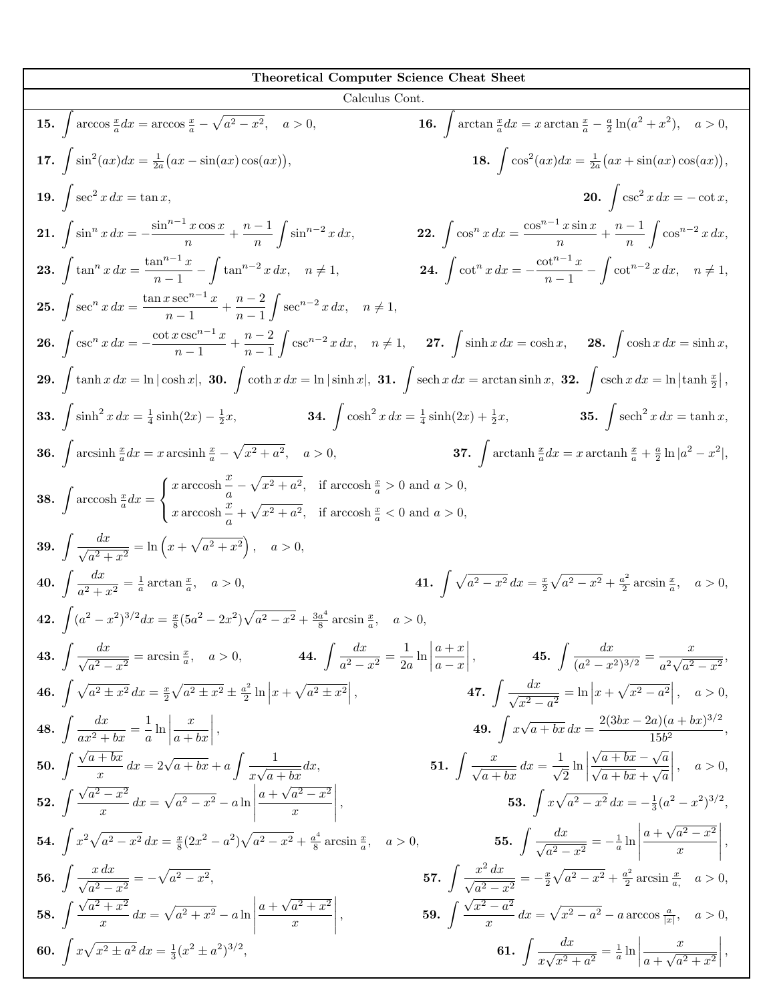| Theoretical Computer Science Cheat Sheet                                                                                                                                                                                                                                                                                                                 |                                                                                                                                                 |  |  |  |
|----------------------------------------------------------------------------------------------------------------------------------------------------------------------------------------------------------------------------------------------------------------------------------------------------------------------------------------------------------|-------------------------------------------------------------------------------------------------------------------------------------------------|--|--|--|
| Calculus Cont.                                                                                                                                                                                                                                                                                                                                           |                                                                                                                                                 |  |  |  |
| <b>15.</b> $\int \arccos \frac{x}{a} dx = \arccos \frac{x}{a} - \sqrt{a^2 - x^2}, \quad a > 0,$                                                                                                                                                                                                                                                          | <b>16.</b> $\int \arctan \frac{x}{a} dx = x \arctan \frac{x}{a} - \frac{a}{2} \ln(a^2 + x^2), \quad a > 0,$                                     |  |  |  |
| 17. $\int \sin^2(ax) dx = \frac{1}{2a}(ax - \sin(ax)\cos(ax)),$                                                                                                                                                                                                                                                                                          | 18. $\int \cos^2(ax)dx = \frac{1}{2a}(ax + \sin(ax)\cos(ax)),$                                                                                  |  |  |  |
| 19. $\int \sec^2 x \, dx = \tan x$ ,                                                                                                                                                                                                                                                                                                                     | <b>20.</b> $\int \csc^2 x \, dx = -\cot x,$                                                                                                     |  |  |  |
| 21. $\int \sin^n x \, dx = -\frac{\sin^{n-1} x \cos x}{n} + \frac{n-1}{n} \int \sin^{n-2} x \, dx,$                                                                                                                                                                                                                                                      | <b>22.</b> $\int \cos^n x \, dx = \frac{\cos^{n-1} x \sin x}{n} + \frac{n-1}{n} \int \cos^{n-2} x \, dx,$                                       |  |  |  |
| <b>23.</b> $\int \tan^n x \, dx = \frac{\tan^{n-1} x}{n-1} - \int \tan^{n-2} x \, dx, \quad n \neq 1,$                                                                                                                                                                                                                                                   | <b>24.</b> $\int \cot^n x \, dx = -\frac{\cot^{n-1} x}{n-1} - \int \cot^{n-2} x \, dx, \quad n \neq 1,$                                         |  |  |  |
| <b>25.</b> $\int \sec^n x \, dx = \frac{\tan x \sec^{n-1} x}{n-1} + \frac{n-2}{n-1} \int \sec^{n-2} x \, dx, \quad n \neq 1,$                                                                                                                                                                                                                            |                                                                                                                                                 |  |  |  |
| <b>26.</b> $\int \csc^n x \, dx = -\frac{\cot x \csc^{n-1} x}{n-1} + \frac{n-2}{n-1} \int \csc^{n-2} x \, dx$ , $n \neq 1$ , <b>27.</b> $\int \sinh x \, dx = \cosh x$ , <b>28.</b> $\int \cosh x \, dx = \sinh x$ ,                                                                                                                                     |                                                                                                                                                 |  |  |  |
| 29. $\int \tanh x\,dx = \ln \cosh x $ , 30. $\int \coth x\,dx = \ln \sinh x $ , 31. $\int \operatorname{sech} x\,dx = \arctan \sinh x$ , 32. $\int \operatorname{csch} x\,dx = \ln \tanh \frac{x}{2} $ ,                                                                                                                                                 |                                                                                                                                                 |  |  |  |
| <b>33.</b> $\int \sinh^2 x \, dx = \frac{1}{4} \sinh(2x) - \frac{1}{2}x$ , <b>34.</b> $\int \cosh^2 x \, dx = \frac{1}{4} \sinh(2x) + \frac{1}{2}x$ , <b>35.</b> $\int \mathrm{sech}^2 x \, dx = \tanh x$ ,                                                                                                                                              |                                                                                                                                                 |  |  |  |
| <b>36.</b> $\int \arcsinh \frac{x}{a} dx = x \arcsinh \frac{x}{a} - \sqrt{x^2 + a^2}$ , $a > 0$ , <b>37.</b> $\int \arctanh \frac{x}{a} dx = x \arctanh \frac{x}{a} + \frac{a}{2} \ln  a^2 - x^2 $ ,                                                                                                                                                     |                                                                                                                                                 |  |  |  |
| <b>38.</b> $\int \operatorname{arccosh} \frac{x}{a} dx = \begin{cases} x \operatorname{arccosh} \frac{x}{a} - \sqrt{x^2 + a^2}, & \text{if } \operatorname{arccosh} \frac{x}{a} > 0 \text{ and } a > 0, \\ x \operatorname{arccosh} \frac{x}{a} + \sqrt{x^2 + a^2}, & \text{if } \operatorname{arccosh} \frac{x}{a} < 0 \text{ and } a > 0, \end{cases}$ |                                                                                                                                                 |  |  |  |
| <b>39.</b> $\int \frac{dx}{\sqrt{a^2 + x^2}} = \ln\left(x + \sqrt{a^2 + x^2}\right), \quad a > 0,$                                                                                                                                                                                                                                                       |                                                                                                                                                 |  |  |  |
| <b>40.</b> $\int \frac{dx}{a^2 + x^2} = \frac{1}{a} \arctan \frac{x}{a}, \quad a > 0,$                                                                                                                                                                                                                                                                   | 41. $\int \sqrt{a^2 - x^2} \, dx = \frac{x}{2} \sqrt{a^2 - x^2} + \frac{a^2}{2} \arcsin \frac{x}{a}, \quad a > 0,$                              |  |  |  |
| <b>42.</b> $\int (a^2 - x^2)^{3/2} dx = \frac{x}{8} (5a^2 - 2x^2) \sqrt{a^2 - x^2} + \frac{3a^4}{8} \arcsin \frac{x}{a}, \quad a > 0,$                                                                                                                                                                                                                   |                                                                                                                                                 |  |  |  |
| <b>43.</b> $\int \frac{dx}{\sqrt{a^2 - x^2}} = \arcsin \frac{x}{a}, \quad a > 0,$ <b>44.</b> $\int \frac{dx}{a^2 - x^2} = \frac{1}{2a} \ln \left  \frac{a+x}{a-x} \right ,$ <b>45.</b> $\int \frac{dx}{(a^2 - x^2)^{3/2}} = \frac{x}{a^2 \sqrt{a^2 - x^2}},$                                                                                             |                                                                                                                                                 |  |  |  |
| 46. $\int \sqrt{a^2 \pm x^2} \, dx = \frac{x}{2} \sqrt{a^2 \pm x^2} \pm \frac{a^2}{2} \ln \left  x + \sqrt{a^2 \pm x^2} \right $ ,                                                                                                                                                                                                                       | 47. $\int \frac{dx}{\sqrt{x^2-a^2}} = \ln x+\sqrt{x^2-a^2} , \quad a>0,$                                                                        |  |  |  |
| <b>48.</b> $\int \frac{dx}{ax^2 + bx} = \frac{1}{a} \ln \left  \frac{x}{a + bx} \right $ ,                                                                                                                                                                                                                                                               | <b>49.</b> $\int x\sqrt{a+bx} dx = \frac{2(3bx-2a)(a+bx)^{3/2}}{15b^2}$                                                                         |  |  |  |
| 50. $\int \frac{\sqrt{a+bx}}{x} dx = 2\sqrt{a+bx} + a \int \frac{1}{x\sqrt{a+bx}} dx,$                                                                                                                                                                                                                                                                   | 51. $\int \frac{x}{\sqrt{a+bx}} dx = \frac{1}{\sqrt{2}} \ln \left  \frac{\sqrt{a+bx} - \sqrt{a}}{\sqrt{a+bx} + \sqrt{a}} \right , \quad a > 0,$ |  |  |  |
| 52. $\int \frac{\sqrt{a^2-x^2}}{x} dx = \sqrt{a^2-x^2} - a \ln \left  \frac{a+\sqrt{a^2-x^2}}{x} \right ,$                                                                                                                                                                                                                                               | 53. $\int x\sqrt{a^2-x^2} dx = -\frac{1}{3}(a^2-x^2)^{3/2},$                                                                                    |  |  |  |
| <b>54.</b> $\int x^2 \sqrt{a^2 - x^2} dx = \frac{x}{8} (2x^2 - a^2) \sqrt{a^2 - x^2} + \frac{a^4}{8} \arcsin \frac{x}{a}, \quad a > 0,$                                                                                                                                                                                                                  | 55. $\int \frac{dx}{\sqrt{a^2-x^2}} = -\frac{1}{a} \ln \left  \frac{a+\sqrt{a^2-x^2}}{x} \right ,$                                              |  |  |  |
| 56. $\int \frac{x dx}{\sqrt{a^2-x^2}} = -\sqrt{a^2-x^2}$ ,                                                                                                                                                                                                                                                                                               | 57. $\int \frac{x^2 dx}{\sqrt{a^2-x^2}} = -\frac{x}{2}\sqrt{a^2-x^2} + \frac{a^2}{2}\arcsin \frac{x}{a}, \quad a > 0,$                          |  |  |  |
| 58. $\int \frac{\sqrt{a^2+x^2}}{x} dx = \sqrt{a^2+x^2} - a \ln \left  \frac{a+\sqrt{a^2+x^2}}{x} \right ,$                                                                                                                                                                                                                                               | <b>59.</b> $\int \frac{\sqrt{x^2-a^2}}{x} dx = \sqrt{x^2-a^2} - a \arccos \frac{a}{ x }, \quad a > 0,$                                          |  |  |  |
| 60. $\int x\sqrt{x^2 \pm a^2} dx = \frac{1}{3}(x^2 \pm a^2)^{3/2}$ ,                                                                                                                                                                                                                                                                                     | 61. $\int \frac{dx}{x\sqrt{x^2+a^2}} = \frac{1}{a} \ln \left  \frac{x}{a+\sqrt{a^2+x^2}} \right $ ,                                             |  |  |  |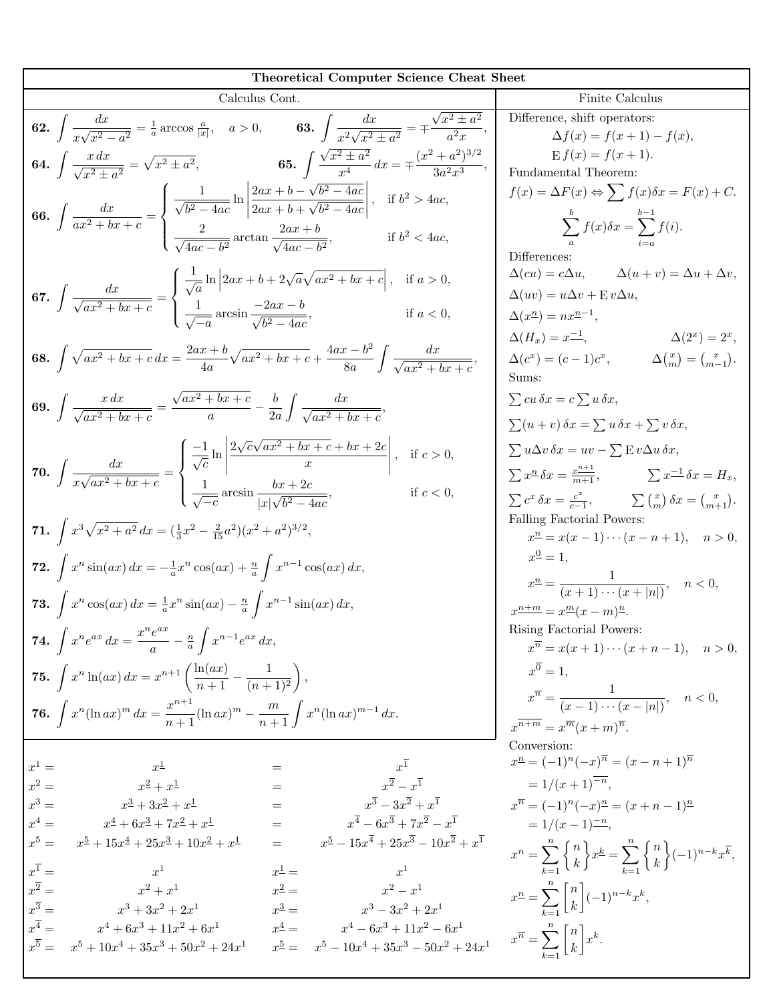| <b>Theoretical Computer Science Cheat Sheet</b>                                                                                                                                                                                                                                                      |                                                                                                                                                                                                                                                                                                                                        |
|------------------------------------------------------------------------------------------------------------------------------------------------------------------------------------------------------------------------------------------------------------------------------------------------------|----------------------------------------------------------------------------------------------------------------------------------------------------------------------------------------------------------------------------------------------------------------------------------------------------------------------------------------|
| Calculus Cont.                                                                                                                                                                                                                                                                                       | Finite Calculus                                                                                                                                                                                                                                                                                                                        |
| <b>62.</b> $\int \frac{dx}{x\sqrt{x^2-a^2}} = \frac{1}{a} \arccos \frac{a}{ x }, \quad a > 0,$ <b>63.</b> $\int \frac{dx}{x^2\sqrt{x^2+a^2}} = \pm \frac{\sqrt{x^2 \pm a^2}}{a^2 x},$                                                                                                                | Difference, shift operators:<br>$\Delta f(x) = f(x+1) - f(x),$                                                                                                                                                                                                                                                                         |
| <b>64.</b> $\int \frac{x \, dx}{\sqrt{x^2 + a^2}} = \sqrt{x^2 \pm a^2}$ , <b>65.</b> $\int \frac{\sqrt{x^2 \pm a^2}}{x^4} dx = \pm \frac{(x^2 + a^2)^{3/2}}{3a^2 x^3}$                                                                                                                               | $E f(x) = f(x+1).$<br>Fundamental Theorem:                                                                                                                                                                                                                                                                                             |
| 66. $\int \frac{dx}{ax^2 + bx + c} = \begin{cases} \frac{1}{\sqrt{b^2 - 4ac}} \ln \left  \frac{2ax + b - \sqrt{b^2 - 4ac}}{2ax + b + \sqrt{b^2 - 4ac}} \right , & \text{if } b^2 > 4ac, \\ \frac{2}{\sqrt{4ac - b^2}} \arctan \frac{2ax + b}{\sqrt{4ac - b^2}}, & \text{if } b^2 < 4ac, \end{cases}$ | $f(x) = \Delta F(x) \Leftrightarrow \sum f(x)\delta x = F(x) + C.$<br>$\sum^b f(x)\delta x = \sum^{b-1} f(i).$<br>Differences:                                                                                                                                                                                                         |
| 67. $\int \frac{dx}{\sqrt{ax^2 + bx + c}} = \begin{cases} \frac{1}{\sqrt{a}} \ln \left  2ax + b + 2\sqrt{a}\sqrt{ax^2 + bx + c} \right , & \text{if } a > 0, \\ \frac{1}{\sqrt{-a}} \arcsin \frac{-2ax - b}{\sqrt{b^2 - 4ac}}, & \text{if } a < 0, \end{cases}$                                      | $\Delta(cu) = c\Delta u, \qquad \Delta(u+v) = \Delta u + \Delta v,$<br>$\Delta(uv) = u\Delta v + \mathbf{E} v \Delta u,$<br>$\Delta(x^n) = nx^{n-1},$                                                                                                                                                                                  |
| <b>68.</b> $\int \sqrt{ax^2 + bx + c} \, dx = \frac{2ax + b}{4a} \sqrt{ax^2 + bx + c} + \frac{4ax - b^2}{8a} \int \frac{dx}{\sqrt{ax^2 + bx + c}}$                                                                                                                                                   | $\Delta(H_x) = x^{-1},$ $\Delta(2^x) = 2^x,$<br>$\Delta(c^x) = (c-1)c^x,$ $\Delta\left(\frac{x}{m}\right) = \left(\frac{x}{m-1}\right).$<br>Sums:                                                                                                                                                                                      |
| <b>69.</b> $\int \frac{x \, dx}{\sqrt{ax^2 + bx + c}} = \frac{\sqrt{ax^2 + bx + c}}{a} - \frac{b}{2a} \int \frac{dx}{\sqrt{ax^2 + bx + c}}$                                                                                                                                                          | $\sum cu\,\delta x=c\sum u\,\delta x,$<br>$\sum (u + v) \, \delta x = \sum u \, \delta x + \sum v \, \delta x,$                                                                                                                                                                                                                        |
| 70. $\int \frac{dx}{x\sqrt{ax^2+bx+c}} = \begin{cases} \frac{-1}{\sqrt{c}} \ln \left  \frac{2\sqrt{c}\sqrt{ax^2+bx+c}+bx+2c}{x} \right , & \text{if } c > 0, \\ \frac{1}{\sqrt{-c}} \arcsin \frac{bx+2c}{ x \sqrt{b^2-4ac}}, & \text{if } c < 0, \end{cases}$                                        | $\sum u \Delta v \, \delta x = uv - \sum E v \Delta u \, \delta x,$<br>$\sum x^{\underline{n}} \delta x = \frac{x^{\underline{n+1}}}{m+1},$ $\sum x^{\underline{-1}} \delta x = H_x,$<br>$\sum c^x \, \delta x = \frac{c^x}{c-1}, \qquad \sum \begin{pmatrix} x \\ m \end{pmatrix} \delta x = \begin{pmatrix} x \\ m+1 \end{pmatrix}.$ |
| 71. $\int x^3 \sqrt{x^2 + a^2} dx = (\frac{1}{3}x^2 - \frac{2}{15}a^2)(x^2 + a^2)^{3/2},$                                                                                                                                                                                                            | Falling Factorial Powers:<br>$x^{\underline{n}} = x(x-1)\cdots(x-n+1), \quad n > 0,$                                                                                                                                                                                                                                                   |
| 72. $\int x^n \sin(ax) dx = -\frac{1}{a}x^n \cos(ax) + \frac{n}{a} \int x^{n-1} \cos(ax) dx$ ,                                                                                                                                                                                                       | $x^{\underline{0}} = 1,$<br>$x^{n} = \frac{1}{(x+1)\cdots(x+ n )}, \quad n < 0,$                                                                                                                                                                                                                                                       |
| <b>73.</b> $\int x^n \cos(ax) dx = \frac{1}{a}x^n \sin(ax) - \frac{n}{a} \int x^{n-1} \sin(ax) dx$ ,                                                                                                                                                                                                 | $x^{\underline{n+m}} = x^{\underline{m}}(x-m)^{\underline{n}}.$<br>Rising Factorial Powers:                                                                                                                                                                                                                                            |
| <b>74.</b> $\int x^n e^{ax} dx = \frac{x^n e^{ax}}{a} - \frac{n}{a} \int x^{n-1} e^{ax} dx$                                                                                                                                                                                                          | $x^{\overline{n}} = x(x+1)\cdots(x+n-1), \quad n > 0,$<br>$x^{\overline{0}}=1.$                                                                                                                                                                                                                                                        |
| 75. $\int x^n \ln(ax) dx = x^{n+1} \left( \frac{\ln(ax)}{n+1} - \frac{1}{(n+1)^2} \right),$<br><b>76.</b> $\int x^n (\ln ax)^m dx = \frac{x^{n+1}}{n+1} (\ln ax)^m - \frac{m}{n+1} \int x^n (\ln ax)^{m-1} dx.$                                                                                      | $x^{\overline{n}} = \frac{1}{(x-1)\cdots(x- n )}, \quad n < 0,$                                                                                                                                                                                                                                                                        |
|                                                                                                                                                                                                                                                                                                      | $x^{\overline{n+m}} = x^{\overline{m}}(x+m)^{\overline{n}}.$<br>Conversion:                                                                                                                                                                                                                                                            |
| $x^1$<br>$x^1 =$<br>$x^{\underline{1}}$<br>$=$                                                                                                                                                                                                                                                       | $x^{\underline{n}} = (-1)^n (-x)^{\overline{n}} = (x - n + 1)^{\overline{n}}$                                                                                                                                                                                                                                                          |
| $x^{\overline{2}}-x^{\overline{1}}$<br>$x^2 =$<br>$x^2 + x^1$<br>$=$                                                                                                                                                                                                                                 | $=1/(x+1)^{-n},$                                                                                                                                                                                                                                                                                                                       |
| $x^3 - 3x^2 + x^1$<br>$x^3 =$<br>$x^3 + 3x^2 + x^1$<br>$=$<br>$x^{\overline{4}} - 6x^{\overline{3}} + 7x^{\overline{2}} - x^{\overline{1}}$<br>$x^4=$<br>$=$<br>$x^4 + 6x^3 + 7x^2 + x^1$                                                                                                            | $x^{\overline{n}} = (-1)^n (-x)^{\underline{n}} = (x + n - 1)^{\underline{n}}$<br>$= 1/(x-1)^{-n}$ ,                                                                                                                                                                                                                                   |
| $x^5 - 15x^4 + 25x^3 - 10x^2 + x^1$<br>$x^5 =$<br>$x^5 + 15x^4 + 25x^3 + 10x^2 + x^1$<br>$x^{\overline{1}} =$                                                                                                                                                                                        | $x^n = \sum_{k=1}^n \binom{n}{k} x^k = \sum_{k=1}^n \binom{n}{k} (-1)^{n-k} x^{\overline{k}},$                                                                                                                                                                                                                                         |
| $x^{\underline{1}} =$<br>$x^1$<br>$x^1$<br>$x^{\overline{2}} =$<br>$x^2-x^1$<br>$x^2+x^1$<br>$x^2 =$                                                                                                                                                                                                 | $x^{\underline{n}} = \sum_{k=1}^{n} \begin{bmatrix} n \\ k \end{bmatrix} (-1)^{n-k} x^{k},$                                                                                                                                                                                                                                            |
| $r^{\overline{3}} =$<br>$x^3 =$<br>$x^3 + 3x^2 + 2x^1$<br>$x^3-3x^2+2x^1$<br>$x^{\overline{4}} =$<br>$x^4 =$<br>$x^4 - 6x^3 + 11x^2 - 6x^1$<br>$x^4 + 6x^3 + 11x^2 + 6x^1$                                                                                                                           |                                                                                                                                                                                                                                                                                                                                        |
| $x^5 =$<br>$x^5 = x^5 - 10x^4 + 35x^3 - 50x^2 + 24x^1$<br>$x^5 + 10x^4 + 35x^3 + 50x^2 + 24x^1$                                                                                                                                                                                                      | $x^{\overline{n}} = \sum_{k=1}^{n} \begin{bmatrix} n \\ k \end{bmatrix} x^{k}.$                                                                                                                                                                                                                                                        |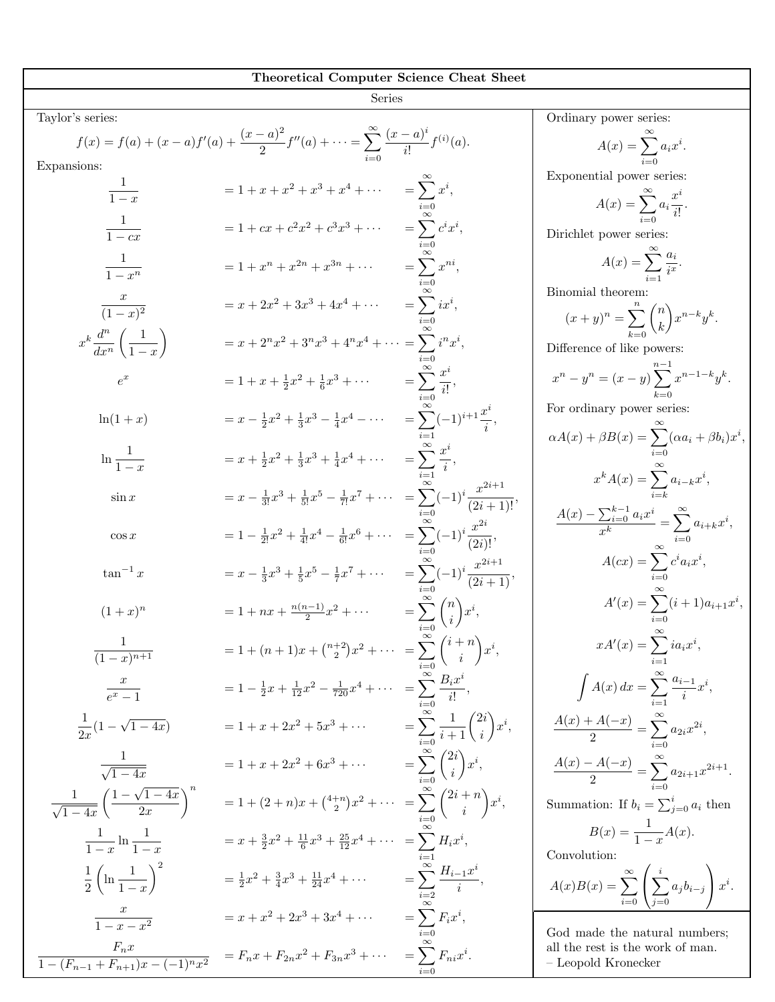| <b>Theoretical Computer Science Cheat Sheet</b>                |                                                                                                                             |                                                             |                                                                                    |  |
|----------------------------------------------------------------|-----------------------------------------------------------------------------------------------------------------------------|-------------------------------------------------------------|------------------------------------------------------------------------------------|--|
|                                                                | <b>Series</b>                                                                                                               |                                                             |                                                                                    |  |
| Taylor's series:                                               |                                                                                                                             |                                                             | Ordinary power series:                                                             |  |
|                                                                | $f(x) = f(a) + (x - a)f'(a) + \frac{(x - a)^2}{2}f''(a) + \cdots = \sum_{i=1}^{\infty} \frac{(x - a)^i}{i!}f^{(i)}(a).$     |                                                             | $A(x) = \sum a_i x^i.$                                                             |  |
| Expansions:                                                    |                                                                                                                             |                                                             |                                                                                    |  |
| $\frac{1}{1-x}$                                                | $= 1 + x + x2 + x3 + x4 + \cdots$ $= \sum xi,$                                                                              |                                                             | Exponential power series:                                                          |  |
|                                                                |                                                                                                                             |                                                             | $A(x) = \sum_{i=1}^{\infty} a_i \frac{x^i}{i!}.$                                   |  |
| $\frac{1}{1-cx}$                                               | = 1 + $cx + c^2x^2 + c^3x^3 + \cdots$ = $\sum c^ix^i$ ,                                                                     |                                                             | Dirichlet power series:                                                            |  |
|                                                                |                                                                                                                             |                                                             |                                                                                    |  |
| $\frac{1}{1-x^n}$                                              | $= 1 + x^n + x^{2n} + x^{3n} + \cdots$                                                                                      | $=\sum^{\infty}x^{ni},$                                     | $A(x) = \sum_{i=1}^{n} \frac{a_i}{i^x}.$                                           |  |
|                                                                |                                                                                                                             |                                                             | Binomial theorem:                                                                  |  |
| $\frac{x}{(1-x)^2}$                                            | $= x + 2x^2 + 3x^3 + 4x^4 + \cdots$                                                                                         | $=\sum ix^i,$                                               |                                                                                    |  |
|                                                                |                                                                                                                             |                                                             | $(x+y)^n = \sum_{k=0}^{\infty} {n \choose k} x^{n-k} y^k.$                         |  |
| $x^k \frac{d^n}{dx^n} \left( \frac{1}{1-x} \right)$            | $= x + 2^n x^2 + 3^n x^3 + 4^n x^4 + \cdots = \sum_{n=1}^{\infty} i^n x^i,$                                                 |                                                             | Difference of like powers:                                                         |  |
|                                                                |                                                                                                                             |                                                             |                                                                                    |  |
| $e^x$                                                          | $= 1 + x + \frac{1}{2}x^2 + \frac{1}{6}x^3 + \cdots$ $= \sum_{i=1}^{\infty} \frac{x^i}{i!},$                                |                                                             | $x^{n} - y^{n} = (x - y) \sum x^{n-1-k} y^{k}.$                                    |  |
| $\ln(1+x)$                                                     | $= x - \frac{1}{2}x^2 + \frac{1}{3}x^3 - \frac{1}{4}x^4 - \cdots$ $= \sum_{n=0}^{\infty} (-1)^{i+1} \frac{x^n}{i},$         |                                                             | For ordinary power series:                                                         |  |
|                                                                |                                                                                                                             |                                                             | $\alpha A(x) + \beta B(x) = \sum_{i=0} (\alpha a_i + \beta b_i) x^i,$              |  |
| $\ln \frac{1}{1-x}$                                            | $= x + \frac{1}{2}x^2 + \frac{1}{3}x^3 + \frac{1}{4}x^4 + \cdots$ $= \sum_{i=1}^{\infty} \frac{x^i}{i},$                    |                                                             |                                                                                    |  |
|                                                                |                                                                                                                             |                                                             | $x^k A(x) = \sum a_{i-k} x^i,$                                                     |  |
| $\sin x$                                                       | $= x - \frac{1}{3!}x^3 + \frac{1}{5!}x^5 - \frac{1}{7!}x^7 + \cdots = \sum_{r=0}^{\infty} (-1)^r \frac{x^{2r+1}}{(2r+1)!},$ |                                                             |                                                                                    |  |
|                                                                |                                                                                                                             |                                                             | $\frac{A(x) - \sum_{i=0}^{k-1} a_i x^i}{x^k} = \sum_{i=0}^{\infty} a_{i+k} x^i,$   |  |
| $\cos x$                                                       | $= 1 - \frac{1}{2!}x^2 + \frac{1}{4!}x^4 - \frac{1}{6!}x^6 + \cdots = \sum_{r=0}^{\infty} (-1)^i \frac{x^{2i}}{(2i)!},$     |                                                             |                                                                                    |  |
|                                                                |                                                                                                                             |                                                             |                                                                                    |  |
| $\tan^{-1} x$                                                  | $= x - \frac{1}{3}x^3 + \frac{1}{5}x^5 - \frac{1}{7}x^7 + \cdots$ $= \sum_{n=1}^{\infty} (-1)^i \frac{x^{2i+1}}{(2i+1)},$   |                                                             | $A(cx) = \sum_{i=0} c^i a_i x^i,$                                                  |  |
|                                                                |                                                                                                                             |                                                             |                                                                                    |  |
| $(1+x)^n$                                                      | $= 1 + nx + \frac{n(n-1)}{2}x^2 + \cdots$ $= \sum_{i=1}^{\infty} {n \choose i} x^i$                                         |                                                             | $A'(x) = \sum_{i=0}^{n} (i+1)a_{i+1}x^i,$                                          |  |
|                                                                |                                                                                                                             |                                                             |                                                                                    |  |
| $\frac{1}{(1-x)^{n+1}}$                                        | $= 1 + (n+1)x + \binom{n+2}{2}x^2 + \cdots = \sum_{i=1}^{\infty} \binom{i+n}{i} x^i,$                                       |                                                             | $xA'(x) = \sum_{i=1} i a_i x^i,$                                                   |  |
| $\frac{x}{e^x-1}$                                              | $= 1 - \frac{1}{2}x + \frac{1}{12}x^2 - \frac{1}{720}x^4 + \cdots = \sum_{i=1}^{\infty} \frac{B_i x^i}{i!},$                |                                                             | $\int A(x) dx = \sum_{i=1}^{\infty} \frac{a_{i-1}}{i} x^i,$                        |  |
|                                                                |                                                                                                                             |                                                             |                                                                                    |  |
| $\frac{1}{2x}(1-\sqrt{1-4x})$                                  | $= 1 + x + 2x^2 + 5x^3 + \cdots$                                                                                            | $= \sum_{i=0}^{\infty} \frac{1}{i+1} {2i \choose i} x^{i},$ | $\frac{A(x) + A(-x)}{2} = \sum_{i=1}^{\infty} a_{2i} x^{2i},$                      |  |
|                                                                |                                                                                                                             |                                                             |                                                                                    |  |
| $\frac{1}{\sqrt{1-4x}}$                                        | $= 1 + x + 2x^2 + 6x^3 + \cdots$                                                                                            | $=\sum_{i=0}^{\infty}\binom{2i}{i}x^{i},$                   | $\frac{A(x)-A(-x)}{2} = \sum_{i=0}^{\infty} a_{2i+1} x^{2i+1}.$                    |  |
|                                                                |                                                                                                                             |                                                             |                                                                                    |  |
| $\frac{1}{\sqrt{1-4x}}\left(\frac{1-\sqrt{1-4x}}{2x}\right)^n$ | $= 1 + (2+n)x + {4+n \choose 2}x^2 + \cdots = \sum_{i=0}^{\infty} {2i+n \choose i} x^i,$                                    |                                                             | Summation: If $b_i = \sum_{j=0}^i a_i$ then                                        |  |
|                                                                |                                                                                                                             |                                                             | $B(x) = \frac{1}{1-x}A(x).$                                                        |  |
| $\frac{1}{1-x}\ln\frac{1}{1-x}$                                | $= x + \frac{3}{2}x^2 + \frac{11}{6}x^3 + \frac{25}{12}x^4 + \cdots$                                                        | $= \sum H_i x^i,$                                           | Convolution:                                                                       |  |
|                                                                |                                                                                                                             |                                                             |                                                                                    |  |
| $\frac{1}{2}\left(\ln\frac{1}{1-x}\right)^2$                   | $=\frac{1}{2}x^2 + \frac{3}{4}x^3 + \frac{11}{24}x^4 + \cdots$                                                              | $=\sum_{i=2}^{\infty}\frac{H_{i-1}x^{i}}{i},$               | $A(x)B(x) = \sum_{i=0}^{\infty} \left( \sum_{i=0}^{i} a_{i}b_{i-i} \right) x^{i}.$ |  |
|                                                                | $= x + x^2 + 2x^3 + 3x^4 + \cdots$                                                                                          | $= \sum F_i x^i,$                                           |                                                                                    |  |
| $\frac{x}{1-x-x^2}$                                            |                                                                                                                             |                                                             | God made the natural numbers;                                                      |  |
| $\frac{F_n x}{1-(F_{n-1}+F_{n+1})x-(-1)^n x^2}$                | $= F_n x + F_{2n} x^2 + F_{3n} x^3 + \cdots$                                                                                | $=\sum F_{ni}x^i$ .                                         | all the rest is the work of man.                                                   |  |
|                                                                |                                                                                                                             |                                                             | – Leopold Kronecker                                                                |  |